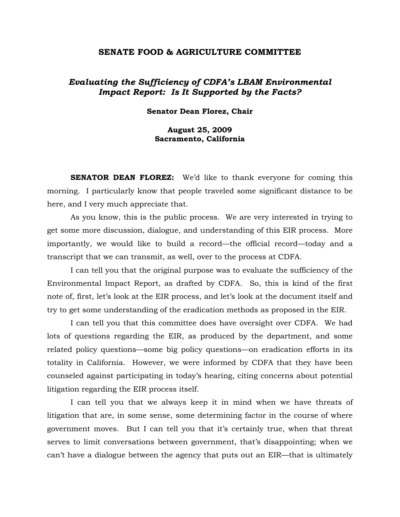### **SENATE FOOD & AGRICULTURE COMMITTEE**

# *Evaluating the Sufficiency of CDFA's LBAM Environmental Impact Report: Is It Supported by the Facts?*

**Senator Dean Florez, Chair**

# **August 25, 2009 Sacramento, California**

**SENATOR DEAN FLOREZ:** We'd like to thank everyone for coming this morning. I particularly know that people traveled some significant distance to be here, and I very much appreciate that.

 As you know, this is the public process. We are very interested in trying to get some more discussion, dialogue, and understanding of this EIR process. More importantly, we would like to build a record—the official record—today and a transcript that we can transmit, as well, over to the process at CDFA.

 I can tell you that the original purpose was to evaluate the sufficiency of the Environmental Impact Report, as drafted by CDFA. So, this is kind of the first note of, first, let's look at the EIR process, and let's look at the document itself and try to get some understanding of the eradication methods as proposed in the EIR.

 I can tell you that this committee does have oversight over CDFA. We had lots of questions regarding the EIR, as produced by the department, and some related policy questions—some big policy questions—on eradication efforts in its totality in California. However, we were informed by CDFA that they have been counseled against participating in today's hearing, citing concerns about potential litigation regarding the EIR process itself.

 I can tell you that we always keep it in mind when we have threats of litigation that are, in some sense, some determining factor in the course of where government moves. But I can tell you that it's certainly true, when that threat serves to limit conversations between government, that's disappointing; when we can't have a dialogue between the agency that puts out an EIR—that is ultimately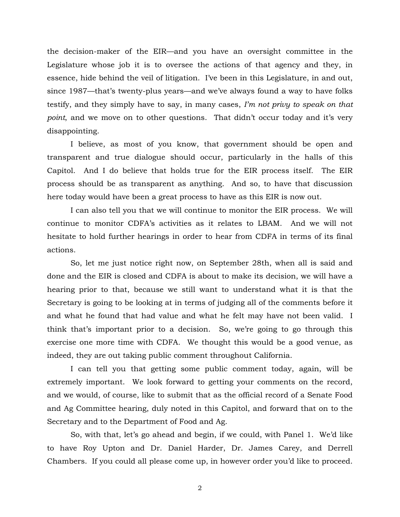the decision-maker of the EIR—and you have an oversight committee in the Legislature whose job it is to oversee the actions of that agency and they, in essence, hide behind the veil of litigation. I've been in this Legislature, in and out, since 1987—that's twenty-plus years—and we've always found a way to have folks testify, and they simply have to say, in many cases, *I'm not privy to speak on that point*, and we move on to other questions. That didn't occur today and it's very disappointing.

 I believe, as most of you know, that government should be open and transparent and true dialogue should occur, particularly in the halls of this Capitol. And I do believe that holds true for the EIR process itself. The EIR process should be as transparent as anything. And so, to have that discussion here today would have been a great process to have as this EIR is now out.

 I can also tell you that we will continue to monitor the EIR process. We will continue to monitor CDFA's activities as it relates to LBAM. And we will not hesitate to hold further hearings in order to hear from CDFA in terms of its final actions.

 So, let me just notice right now, on September 28th, when all is said and done and the EIR is closed and CDFA is about to make its decision, we will have a hearing prior to that, because we still want to understand what it is that the Secretary is going to be looking at in terms of judging all of the comments before it and what he found that had value and what he felt may have not been valid. I think that's important prior to a decision. So, we're going to go through this exercise one more time with CDFA. We thought this would be a good venue, as indeed, they are out taking public comment throughout California.

 I can tell you that getting some public comment today, again, will be extremely important. We look forward to getting your comments on the record, and we would, of course, like to submit that as the official record of a Senate Food and Ag Committee hearing, duly noted in this Capitol, and forward that on to the Secretary and to the Department of Food and Ag.

 So, with that, let's go ahead and begin, if we could, with Panel 1. We'd like to have Roy Upton and Dr. Daniel Harder, Dr. James Carey, and Derrell Chambers. If you could all please come up, in however order you'd like to proceed.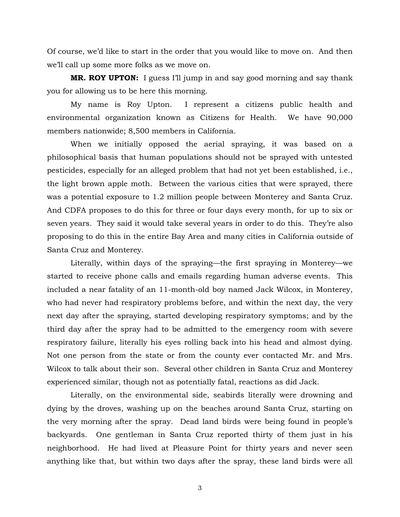Of course, we'd like to start in the order that you would like to move on. And then we'll call up some more folks as we move on.

**MR. ROY UPTON:** I guess I'll jump in and say good morning and say thank you for allowing us to be here this morning.

 My name is Roy Upton. I represent a citizens public health and environmental organization known as Citizens for Health. We have 90,000 members nationwide; 8,500 members in California.

 When we initially opposed the aerial spraying, it was based on a philosophical basis that human populations should not be sprayed with untested pesticides, especially for an alleged problem that had not yet been established, i.e., the light brown apple moth. Between the various cities that were sprayed, there was a potential exposure to 1.2 million people between Monterey and Santa Cruz. And CDFA proposes to do this for three or four days every month, for up to six or seven years. They said it would take several years in order to do this. They're also proposing to do this in the entire Bay Area and many cities in California outside of Santa Cruz and Monterey.

 Literally, within days of the spraying—the first spraying in Monterey—we started to receive phone calls and emails regarding human adverse events. This included a near fatality of an 11-month-old boy named Jack Wilcox, in Monterey, who had never had respiratory problems before, and within the next day, the very next day after the spraying, started developing respiratory symptoms; and by the third day after the spray had to be admitted to the emergency room with severe respiratory failure, literally his eyes rolling back into his head and almost dying. Not one person from the state or from the county ever contacted Mr. and Mrs. Wilcox to talk about their son. Several other children in Santa Cruz and Monterey experienced similar, though not as potentially fatal, reactions as did Jack.

 Literally, on the environmental side, seabirds literally were drowning and dying by the droves, washing up on the beaches around Santa Cruz, starting on the very morning after the spray. Dead land birds were being found in people's backyards. One gentleman in Santa Cruz reported thirty of them just in his neighborhood. He had lived at Pleasure Point for thirty years and never seen anything like that, but within two days after the spray, these land birds were all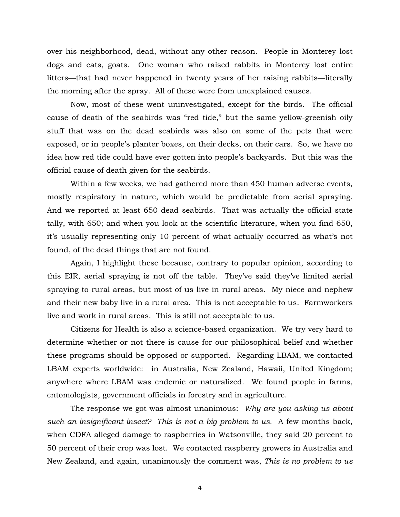over his neighborhood, dead, without any other reason. People in Monterey lost dogs and cats, goats. One woman who raised rabbits in Monterey lost entire litters—that had never happened in twenty years of her raising rabbits—literally the morning after the spray. All of these were from unexplained causes.

 Now, most of these went uninvestigated, except for the birds. The official cause of death of the seabirds was "red tide," but the same yellow-greenish oily stuff that was on the dead seabirds was also on some of the pets that were exposed, or in people's planter boxes, on their decks, on their cars. So, we have no idea how red tide could have ever gotten into people's backyards. But this was the official cause of death given for the seabirds.

 Within a few weeks, we had gathered more than 450 human adverse events, mostly respiratory in nature, which would be predictable from aerial spraying. And we reported at least 650 dead seabirds. That was actually the official state tally, with 650; and when you look at the scientific literature, when you find 650, it's usually representing only 10 percent of what actually occurred as what's not found, of the dead things that are not found.

 Again, I highlight these because, contrary to popular opinion, according to this EIR, aerial spraying is not off the table. They've said they've limited aerial spraying to rural areas, but most of us live in rural areas. My niece and nephew and their new baby live in a rural area. This is not acceptable to us. Farmworkers live and work in rural areas. This is still not acceptable to us.

 Citizens for Health is also a science-based organization. We try very hard to determine whether or not there is cause for our philosophical belief and whether these programs should be opposed or supported. Regarding LBAM, we contacted LBAM experts worldwide: in Australia, New Zealand, Hawaii, United Kingdom; anywhere where LBAM was endemic or naturalized. We found people in farms, entomologists, government officials in forestry and in agriculture.

 The response we got was almost unanimous: *Why are you asking us about such an insignificant insect? This is not a big problem to us.* A few months back, when CDFA alleged damage to raspberries in Watsonville, they said 20 percent to 50 percent of their crop was lost. We contacted raspberry growers in Australia and New Zealand, and again, unanimously the comment was, *This is no problem to us*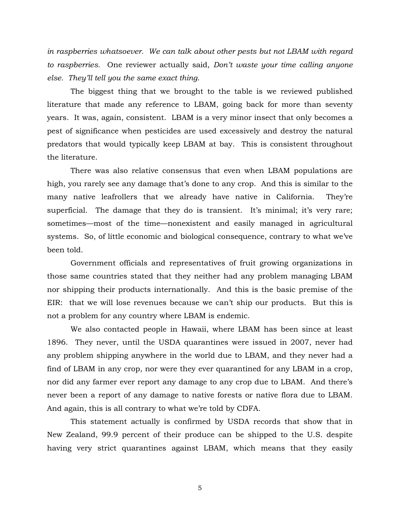*in raspberries whatsoever. We can talk about other pests but not LBAM with regard to raspberries.* One reviewer actually said, *Don't waste your time calling anyone else. They'll tell you the same exact thing*.

 The biggest thing that we brought to the table is we reviewed published literature that made any reference to LBAM, going back for more than seventy years. It was, again, consistent. LBAM is a very minor insect that only becomes a pest of significance when pesticides are used excessively and destroy the natural predators that would typically keep LBAM at bay. This is consistent throughout the literature.

 There was also relative consensus that even when LBAM populations are high, you rarely see any damage that's done to any crop. And this is similar to the many native leafrollers that we already have native in California. They're superficial. The damage that they do is transient. It's minimal; it's very rare; sometimes—most of the time—nonexistent and easily managed in agricultural systems. So, of little economic and biological consequence, contrary to what we've been told.

 Government officials and representatives of fruit growing organizations in those same countries stated that they neither had any problem managing LBAM nor shipping their products internationally. And this is the basic premise of the EIR: that we will lose revenues because we can't ship our products. But this is not a problem for any country where LBAM is endemic.

 We also contacted people in Hawaii, where LBAM has been since at least 1896. They never, until the USDA quarantines were issued in 2007, never had any problem shipping anywhere in the world due to LBAM, and they never had a find of LBAM in any crop, nor were they ever quarantined for any LBAM in a crop, nor did any farmer ever report any damage to any crop due to LBAM. And there's never been a report of any damage to native forests or native flora due to LBAM. And again, this is all contrary to what we're told by CDFA.

 This statement actually is confirmed by USDA records that show that in New Zealand, 99.9 percent of their produce can be shipped to the U.S. despite having very strict quarantines against LBAM, which means that they easily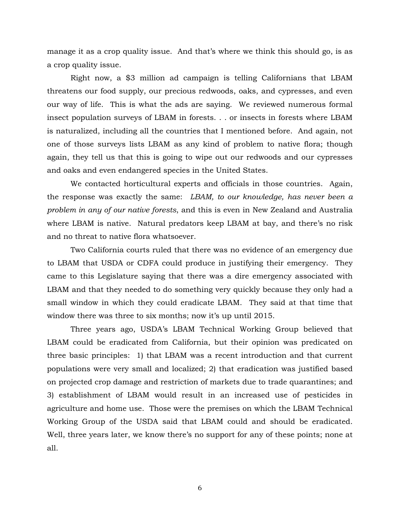manage it as a crop quality issue. And that's where we think this should go, is as a crop quality issue.

 Right now, a \$3 million ad campaign is telling Californians that LBAM threatens our food supply, our precious redwoods, oaks, and cypresses, and even our way of life. This is what the ads are saying. We reviewed numerous formal insect population surveys of LBAM in forests. . . or insects in forests where LBAM is naturalized, including all the countries that I mentioned before. And again, not one of those surveys lists LBAM as any kind of problem to native flora; though again, they tell us that this is going to wipe out our redwoods and our cypresses and oaks and even endangered species in the United States.

 We contacted horticultural experts and officials in those countries. Again, the response was exactly the same:*LBAM, to our knowledge, has never been a problem in any of our native forests*, and this is even in New Zealand and Australia where LBAM is native. Natural predators keep LBAM at bay, and there's no risk and no threat to native flora whatsoever.

 Two California courts ruled that there was no evidence of an emergency due to LBAM that USDA or CDFA could produce in justifying their emergency. They came to this Legislature saying that there was a dire emergency associated with LBAM and that they needed to do something very quickly because they only had a small window in which they could eradicate LBAM. They said at that time that window there was three to six months; now it's up until 2015.

 Three years ago, USDA's LBAM Technical Working Group believed that LBAM could be eradicated from California, but their opinion was predicated on three basic principles: 1) that LBAM was a recent introduction and that current populations were very small and localized; 2) that eradication was justified based on projected crop damage and restriction of markets due to trade quarantines; and 3) establishment of LBAM would result in an increased use of pesticides in agriculture and home use. Those were the premises on which the LBAM Technical Working Group of the USDA said that LBAM could and should be eradicated. Well, three years later, we know there's no support for any of these points; none at all.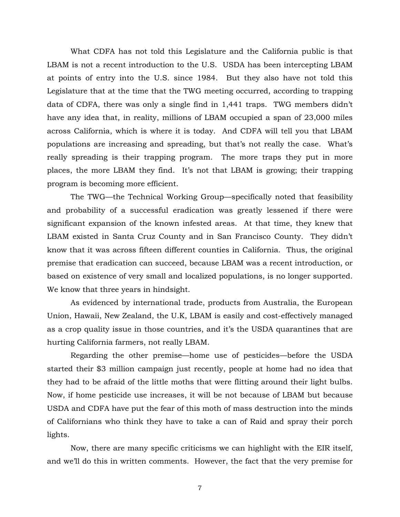What CDFA has not told this Legislature and the California public is that LBAM is not a recent introduction to the U.S. USDA has been intercepting LBAM at points of entry into the U.S. since 1984. But they also have not told this Legislature that at the time that the TWG meeting occurred, according to trapping data of CDFA, there was only a single find in 1,441 traps. TWG members didn't have any idea that, in reality, millions of LBAM occupied a span of 23,000 miles across California, which is where it is today. And CDFA will tell you that LBAM populations are increasing and spreading, but that's not really the case. What's really spreading is their trapping program. The more traps they put in more places, the more LBAM they find. It's not that LBAM is growing; their trapping program is becoming more efficient.

 The TWG—the Technical Working Group—specifically noted that feasibility and probability of a successful eradication was greatly lessened if there were significant expansion of the known infested areas. At that time, they knew that LBAM existed in Santa Cruz County and in San Francisco County. They didn't know that it was across fifteen different counties in California. Thus, the original premise that eradication can succeed, because LBAM was a recent introduction, or based on existence of very small and localized populations, is no longer supported. We know that three years in hindsight.

 As evidenced by international trade, products from Australia, the European Union, Hawaii, New Zealand, the U.K, LBAM is easily and cost-effectively managed as a crop quality issue in those countries, and it's the USDA quarantines that are hurting California farmers, not really LBAM.

 Regarding the other premise—home use of pesticides—before the USDA started their \$3 million campaign just recently, people at home had no idea that they had to be afraid of the little moths that were flitting around their light bulbs. Now, if home pesticide use increases, it will be not because of LBAM but because USDA and CDFA have put the fear of this moth of mass destruction into the minds of Californians who think they have to take a can of Raid and spray their porch lights.

 Now, there are many specific criticisms we can highlight with the EIR itself, and we'll do this in written comments. However, the fact that the very premise for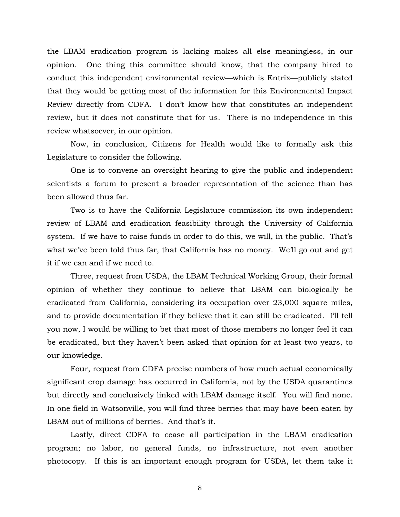the LBAM eradication program is lacking makes all else meaningless, in our opinion. One thing this committee should know, that the company hired to conduct this independent environmental review—which is Entrix—publicly stated that they would be getting most of the information for this Environmental Impact Review directly from CDFA. I don't know how that constitutes an independent review, but it does not constitute that for us. There is no independence in this review whatsoever, in our opinion.

 Now, in conclusion, Citizens for Health would like to formally ask this Legislature to consider the following.

One is to convene an oversight hearing to give the public and independent scientists a forum to present a broader representation of the science than has been allowed thus far.

 Two is to have the California Legislature commission its own independent review of LBAM and eradication feasibility through the University of California system. If we have to raise funds in order to do this, we will, in the public. That's what we've been told thus far, that California has no money. We'll go out and get it if we can and if we need to.

 Three, request from USDA, the LBAM Technical Working Group, their formal opinion of whether they continue to believe that LBAM can biologically be eradicated from California, considering its occupation over 23,000 square miles, and to provide documentation if they believe that it can still be eradicated. I'll tell you now, I would be willing to bet that most of those members no longer feel it can be eradicated, but they haven't been asked that opinion for at least two years, to our knowledge.

 Four, request from CDFA precise numbers of how much actual economically significant crop damage has occurred in California, not by the USDA quarantines but directly and conclusively linked with LBAM damage itself. You will find none. In one field in Watsonville, you will find three berries that may have been eaten by LBAM out of millions of berries. And that's it.

 Lastly, direct CDFA to cease all participation in the LBAM eradication program; no labor, no general funds, no infrastructure, not even another photocopy. If this is an important enough program for USDA, let them take it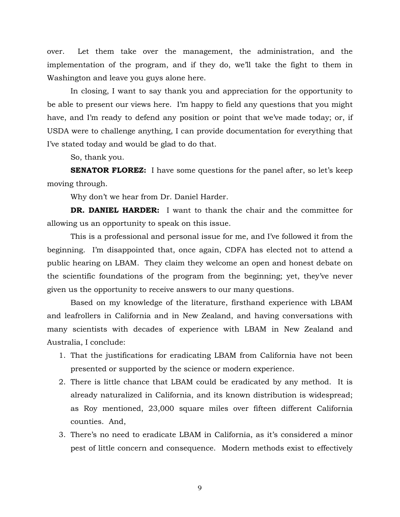over. Let them take over the management, the administration, and the implementation of the program, and if they do, we'll take the fight to them in Washington and leave you guys alone here.

 In closing, I want to say thank you and appreciation for the opportunity to be able to present our views here. I'm happy to field any questions that you might have, and I'm ready to defend any position or point that we've made today; or, if USDA were to challenge anything, I can provide documentation for everything that I've stated today and would be glad to do that.

So, thank you.

**SENATOR FLOREZ:** I have some questions for the panel after, so let's keep moving through.

Why don't we hear from Dr. Daniel Harder.

**DR. DANIEL HARDER:** I want to thank the chair and the committee for allowing us an opportunity to speak on this issue.

 This is a professional and personal issue for me, and I've followed it from the beginning. I'm disappointed that, once again, CDFA has elected not to attend a public hearing on LBAM. They claim they welcome an open and honest debate on the scientific foundations of the program from the beginning; yet, they've never given us the opportunity to receive answers to our many questions.

 Based on my knowledge of the literature, firsthand experience with LBAM and leafrollers in California and in New Zealand, and having conversations with many scientists with decades of experience with LBAM in New Zealand and Australia, I conclude:

- 1. That the justifications for eradicating LBAM from California have not been presented or supported by the science or modern experience.
- 2. There is little chance that LBAM could be eradicated by any method. It is already naturalized in California, and its known distribution is widespread; as Roy mentioned, 23,000 square miles over fifteen different California counties. And,
- 3. There's no need to eradicate LBAM in California, as it's considered a minor pest of little concern and consequence. Modern methods exist to effectively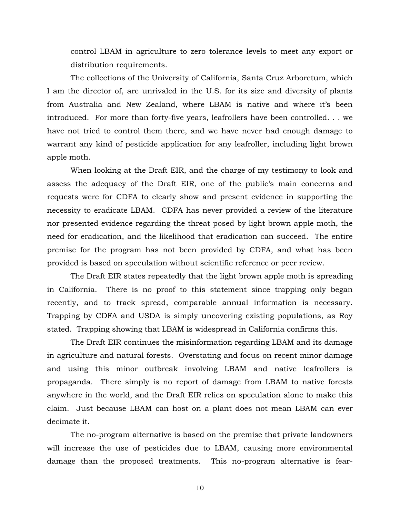control LBAM in agriculture to zero tolerance levels to meet any export or distribution requirements.

 The collections of the University of California, Santa Cruz Arboretum, which I am the director of, are unrivaled in the U.S. for its size and diversity of plants from Australia and New Zealand, where LBAM is native and where it's been introduced. For more than forty-five years, leafrollers have been controlled. . . we have not tried to control them there, and we have never had enough damage to warrant any kind of pesticide application for any leafroller, including light brown apple moth.

 When looking at the Draft EIR, and the charge of my testimony to look and assess the adequacy of the Draft EIR, one of the public's main concerns and requests were for CDFA to clearly show and present evidence in supporting the necessity to eradicate LBAM. CDFA has never provided a review of the literature nor presented evidence regarding the threat posed by light brown apple moth, the need for eradication, and the likelihood that eradication can succeed. The entire premise for the program has not been provided by CDFA, and what has been provided is based on speculation without scientific reference or peer review.

 The Draft EIR states repeatedly that the light brown apple moth is spreading in California. There is no proof to this statement since trapping only began recently, and to track spread, comparable annual information is necessary. Trapping by CDFA and USDA is simply uncovering existing populations, as Roy stated. Trapping showing that LBAM is widespread in California confirms this.

 The Draft EIR continues the misinformation regarding LBAM and its damage in agriculture and natural forests. Overstating and focus on recent minor damage and using this minor outbreak involving LBAM and native leafrollers is propaganda. There simply is no report of damage from LBAM to native forests anywhere in the world, and the Draft EIR relies on speculation alone to make this claim. Just because LBAM can host on a plant does not mean LBAM can ever decimate it.

 The no-program alternative is based on the premise that private landowners will increase the use of pesticides due to LBAM, causing more environmental damage than the proposed treatments. This no-program alternative is fear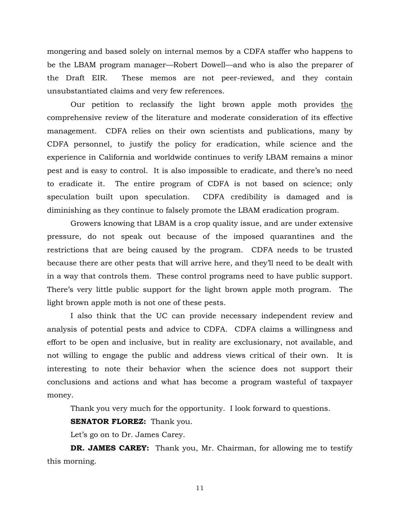mongering and based solely on internal memos by a CDFA staffer who happens to be the LBAM program manager—Robert Dowell—and who is also the preparer of the Draft EIR. These memos are not peer-reviewed, and they contain unsubstantiated claims and very few references.

 Our petition to reclassify the light brown apple moth provides the comprehensive review of the literature and moderate consideration of its effective management. CDFA relies on their own scientists and publications, many by CDFA personnel, to justify the policy for eradication, while science and the experience in California and worldwide continues to verify LBAM remains a minor pest and is easy to control. It is also impossible to eradicate, and there's no need to eradicate it. The entire program of CDFA is not based on science; only speculation built upon speculation. CDFA credibility is damaged and is diminishing as they continue to falsely promote the LBAM eradication program.

 Growers knowing that LBAM is a crop quality issue, and are under extensive pressure, do not speak out because of the imposed quarantines and the restrictions that are being caused by the program. CDFA needs to be trusted because there are other pests that will arrive here, and they'll need to be dealt with in a way that controls them. These control programs need to have public support. There's very little public support for the light brown apple moth program. The light brown apple moth is not one of these pests.

 I also think that the UC can provide necessary independent review and analysis of potential pests and advice to CDFA. CDFA claims a willingness and effort to be open and inclusive, but in reality are exclusionary, not available, and not willing to engage the public and address views critical of their own. It is interesting to note their behavior when the science does not support their conclusions and actions and what has become a program wasteful of taxpayer money.

Thank you very much for the opportunity. I look forward to questions.

# **SENATOR FLOREZ:** Thank you.

Let's go on to Dr. James Carey.

**DR. JAMES CAREY:** Thank you, Mr. Chairman, for allowing me to testify this morning.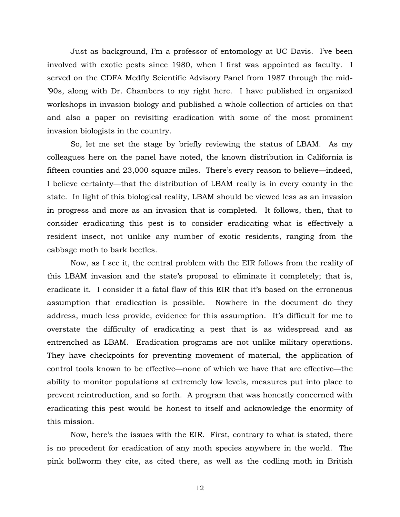Just as background, I'm a professor of entomology at UC Davis. I've been involved with exotic pests since 1980, when I first was appointed as faculty. I served on the CDFA Medfly Scientific Advisory Panel from 1987 through the mid- '90s, along with Dr. Chambers to my right here. I have published in organized workshops in invasion biology and published a whole collection of articles on that and also a paper on revisiting eradication with some of the most prominent invasion biologists in the country.

 So, let me set the stage by briefly reviewing the status of LBAM. As my colleagues here on the panel have noted, the known distribution in California is fifteen counties and 23,000 square miles. There's every reason to believe—indeed, I believe certainty—that the distribution of LBAM really is in every county in the state. In light of this biological reality, LBAM should be viewed less as an invasion in progress and more as an invasion that is completed. It follows, then, that to consider eradicating this pest is to consider eradicating what is effectively a resident insect, not unlike any number of exotic residents, ranging from the cabbage moth to bark beetles.

 Now, as I see it, the central problem with the EIR follows from the reality of this LBAM invasion and the state's proposal to eliminate it completely; that is, eradicate it. I consider it a fatal flaw of this EIR that it's based on the erroneous assumption that eradication is possible. Nowhere in the document do they address, much less provide, evidence for this assumption. It's difficult for me to overstate the difficulty of eradicating a pest that is as widespread and as entrenched as LBAM. Eradication programs are not unlike military operations. They have checkpoints for preventing movement of material, the application of control tools known to be effective—none of which we have that are effective—the ability to monitor populations at extremely low levels, measures put into place to prevent reintroduction, and so forth. A program that was honestly concerned with eradicating this pest would be honest to itself and acknowledge the enormity of this mission.

 Now, here's the issues with the EIR. First, contrary to what is stated, there is no precedent for eradication of any moth species anywhere in the world. The pink bollworm they cite, as cited there, as well as the codling moth in British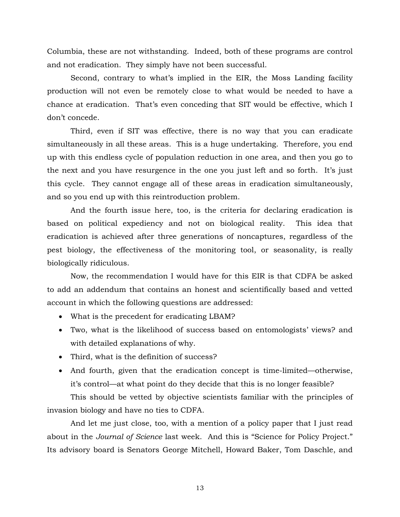Columbia, these are not withstanding. Indeed, both of these programs are control and not eradication. They simply have not been successful.

 Second, contrary to what's implied in the EIR, the Moss Landing facility production will not even be remotely close to what would be needed to have a chance at eradication. That's even conceding that SIT would be effective, which I don't concede.

 Third, even if SIT was effective, there is no way that you can eradicate simultaneously in all these areas. This is a huge undertaking. Therefore, you end up with this endless cycle of population reduction in one area, and then you go to the next and you have resurgence in the one you just left and so forth. It's just this cycle. They cannot engage all of these areas in eradication simultaneously, and so you end up with this reintroduction problem.

 And the fourth issue here, too, is the criteria for declaring eradication is based on political expediency and not on biological reality. This idea that eradication is achieved after three generations of noncaptures, regardless of the pest biology, the effectiveness of the monitoring tool, or seasonality, is really biologically ridiculous.

 Now, the recommendation I would have for this EIR is that CDFA be asked to add an addendum that contains an honest and scientifically based and vetted account in which the following questions are addressed:

- What is the precedent for eradicating LBAM?
- Two, what is the likelihood of success based on entomologists' views? and with detailed explanations of why.
- Third, what is the definition of success?
- And fourth, given that the eradication concept is time-limited—otherwise, it's control—at what point do they decide that this is no longer feasible?

 This should be vetted by objective scientists familiar with the principles of invasion biology and have no ties to CDFA.

 And let me just close, too, with a mention of a policy paper that I just read about in the *Journal of Science* last week. And this is "Science for Policy Project." Its advisory board is Senators George Mitchell, Howard Baker, Tom Daschle, and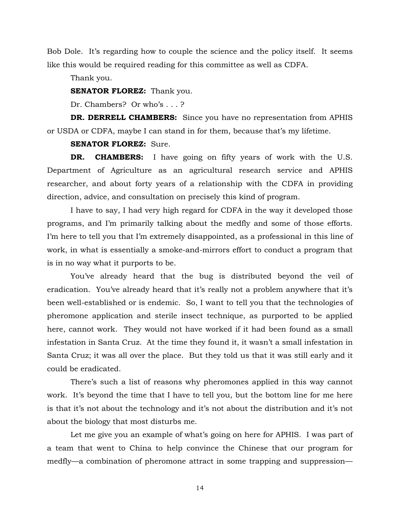Bob Dole. It's regarding how to couple the science and the policy itself. It seems like this would be required reading for this committee as well as CDFA.

Thank you.

**SENATOR FLOREZ:** Thank you.

Dr. Chambers? Or who's . . . ?

**DR. DERRELL CHAMBERS:** Since you have no representation from APHIS or USDA or CDFA, maybe I can stand in for them, because that's my lifetime.

**SENATOR FLOREZ:** Sure.

**DR. CHAMBERS:** I have going on fifty years of work with the U.S. Department of Agriculture as an agricultural research service and APHIS researcher, and about forty years of a relationship with the CDFA in providing direction, advice, and consultation on precisely this kind of program.

 I have to say, I had very high regard for CDFA in the way it developed those programs, and I'm primarily talking about the medfly and some of those efforts. I'm here to tell you that I'm extremely disappointed, as a professional in this line of work, in what is essentially a smoke-and-mirrors effort to conduct a program that is in no way what it purports to be.

 You've already heard that the bug is distributed beyond the veil of eradication. You've already heard that it's really not a problem anywhere that it's been well-established or is endemic. So, I want to tell you that the technologies of pheromone application and sterile insect technique, as purported to be applied here, cannot work. They would not have worked if it had been found as a small infestation in Santa Cruz. At the time they found it, it wasn't a small infestation in Santa Cruz; it was all over the place. But they told us that it was still early and it could be eradicated.

 There's such a list of reasons why pheromones applied in this way cannot work. It's beyond the time that I have to tell you, but the bottom line for me here is that it's not about the technology and it's not about the distribution and it's not about the biology that most disturbs me.

 Let me give you an example of what's going on here for APHIS. I was part of a team that went to China to help convince the Chinese that our program for medfly—a combination of pheromone attract in some trapping and suppression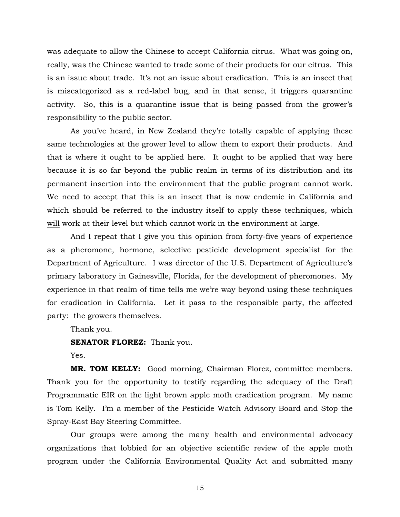was adequate to allow the Chinese to accept California citrus. What was going on, really, was the Chinese wanted to trade some of their products for our citrus. This is an issue about trade. It's not an issue about eradication. This is an insect that is miscategorized as a red-label bug, and in that sense, it triggers quarantine activity. So, this is a quarantine issue that is being passed from the grower's responsibility to the public sector.

 As you've heard, in New Zealand they're totally capable of applying these same technologies at the grower level to allow them to export their products. And that is where it ought to be applied here. It ought to be applied that way here because it is so far beyond the public realm in terms of its distribution and its permanent insertion into the environment that the public program cannot work. We need to accept that this is an insect that is now endemic in California and which should be referred to the industry itself to apply these techniques, which will work at their level but which cannot work in the environment at large.

 And I repeat that I give you this opinion from forty-five years of experience as a pheromone, hormone, selective pesticide development specialist for the Department of Agriculture. I was director of the U.S. Department of Agriculture's primary laboratory in Gainesville, Florida, for the development of pheromones. My experience in that realm of time tells me we're way beyond using these techniques for eradication in California. Let it pass to the responsible party, the affected party: the growers themselves.

Thank you.

**SENATOR FLOREZ:** Thank you.

Yes.

**MR. TOM KELLY:** Good morning, Chairman Florez, committee members. Thank you for the opportunity to testify regarding the adequacy of the Draft Programmatic EIR on the light brown apple moth eradication program. My name is Tom Kelly. I'm a member of the Pesticide Watch Advisory Board and Stop the Spray-East Bay Steering Committee.

 Our groups were among the many health and environmental advocacy organizations that lobbied for an objective scientific review of the apple moth program under the California Environmental Quality Act and submitted many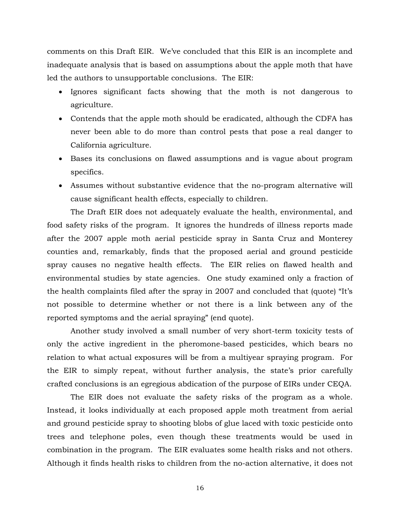comments on this Draft EIR. We've concluded that this EIR is an incomplete and inadequate analysis that is based on assumptions about the apple moth that have led the authors to unsupportable conclusions. The EIR:

- Ignores significant facts showing that the moth is not dangerous to agriculture.
- Contends that the apple moth should be eradicated, although the CDFA has never been able to do more than control pests that pose a real danger to California agriculture.
- Bases its conclusions on flawed assumptions and is vague about program specifics.
- Assumes without substantive evidence that the no-program alternative will cause significant health effects, especially to children.

 The Draft EIR does not adequately evaluate the health, environmental, and food safety risks of the program. It ignores the hundreds of illness reports made after the 2007 apple moth aerial pesticide spray in Santa Cruz and Monterey counties and, remarkably, finds that the proposed aerial and ground pesticide spray causes no negative health effects. The EIR relies on flawed health and environmental studies by state agencies. One study examined only a fraction of the health complaints filed after the spray in 2007 and concluded that (quote) "It's not possible to determine whether or not there is a link between any of the reported symptoms and the aerial spraying" (end quote).

 Another study involved a small number of very short-term toxicity tests of only the active ingredient in the pheromone-based pesticides, which bears no relation to what actual exposures will be from a multiyear spraying program. For the EIR to simply repeat, without further analysis, the state's prior carefully crafted conclusions is an egregious abdication of the purpose of EIRs under CEQA.

 The EIR does not evaluate the safety risks of the program as a whole. Instead, it looks individually at each proposed apple moth treatment from aerial and ground pesticide spray to shooting blobs of glue laced with toxic pesticide onto trees and telephone poles, even though these treatments would be used in combination in the program. The EIR evaluates some health risks and not others. Although it finds health risks to children from the no-action alternative, it does not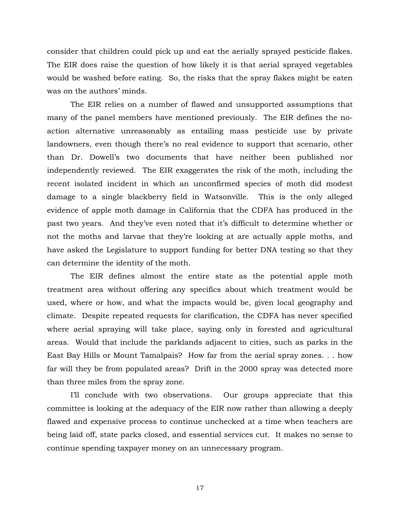consider that children could pick up and eat the aerially sprayed pesticide flakes. The EIR does raise the question of how likely it is that aerial sprayed vegetables would be washed before eating. So, the risks that the spray flakes might be eaten was on the authors' minds.

 The EIR relies on a number of flawed and unsupported assumptions that many of the panel members have mentioned previously. The EIR defines the noaction alternative unreasonably as entailing mass pesticide use by private landowners, even though there's no real evidence to support that scenario, other than Dr. Dowell's two documents that have neither been published nor independently reviewed. The EIR exaggerates the risk of the moth, including the recent isolated incident in which an unconfirmed species of moth did modest damage to a single blackberry field in Watsonville. This is the only alleged evidence of apple moth damage in California that the CDFA has produced in the past two years. And they've even noted that it's difficult to determine whether or not the moths and larvae that they're looking at are actually apple moths, and have asked the Legislature to support funding for better DNA testing so that they can determine the identity of the moth.

 The EIR defines almost the entire state as the potential apple moth treatment area without offering any specifics about which treatment would be used, where or how, and what the impacts would be, given local geography and climate. Despite repeated requests for clarification, the CDFA has never specified where aerial spraying will take place, saying only in forested and agricultural areas. Would that include the parklands adjacent to cities, such as parks in the East Bay Hills or Mount Tamalpais? How far from the aerial spray zones. . . how far will they be from populated areas? Drift in the 2000 spray was detected more than three miles from the spray zone.

 I'll conclude with two observations. Our groups appreciate that this committee is looking at the adequacy of the EIR now rather than allowing a deeply flawed and expensive process to continue unchecked at a time when teachers are being laid off, state parks closed, and essential services cut. It makes no sense to continue spending taxpayer money on an unnecessary program.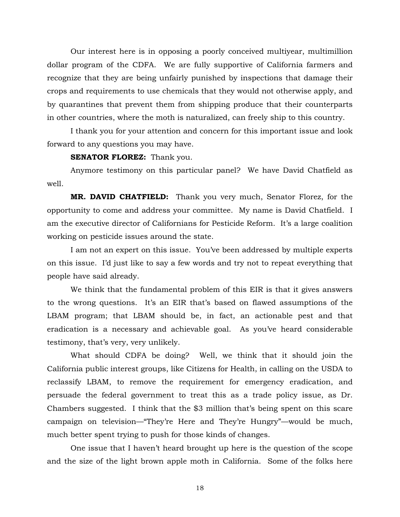Our interest here is in opposing a poorly conceived multiyear, multimillion dollar program of the CDFA. We are fully supportive of California farmers and recognize that they are being unfairly punished by inspections that damage their crops and requirements to use chemicals that they would not otherwise apply, and by quarantines that prevent them from shipping produce that their counterparts in other countries, where the moth is naturalized, can freely ship to this country.

 I thank you for your attention and concern for this important issue and look forward to any questions you may have.

#### **SENATOR FLOREZ:** Thank you.

 Anymore testimony on this particular panel? We have David Chatfield as well.

**MR. DAVID CHATFIELD:** Thank you very much, Senator Florez, for the opportunity to come and address your committee. My name is David Chatfield. I am the executive director of Californians for Pesticide Reform. It's a large coalition working on pesticide issues around the state.

 I am not an expert on this issue. You've been addressed by multiple experts on this issue. I'd just like to say a few words and try not to repeat everything that people have said already.

 We think that the fundamental problem of this EIR is that it gives answers to the wrong questions. It's an EIR that's based on flawed assumptions of the LBAM program; that LBAM should be, in fact, an actionable pest and that eradication is a necessary and achievable goal. As you've heard considerable testimony, that's very, very unlikely.

 What should CDFA be doing? Well, we think that it should join the California public interest groups, like Citizens for Health, in calling on the USDA to reclassify LBAM, to remove the requirement for emergency eradication, and persuade the federal government to treat this as a trade policy issue, as Dr. Chambers suggested. I think that the \$3 million that's being spent on this scare campaign on television—"They're Here and They're Hungry"—would be much, much better spent trying to push for those kinds of changes.

 One issue that I haven't heard brought up here is the question of the scope and the size of the light brown apple moth in California. Some of the folks here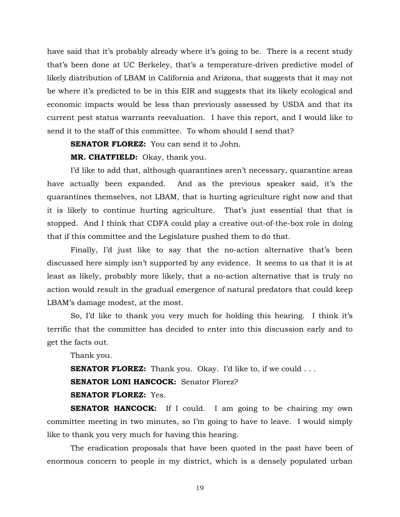have said that it's probably already where it's going to be. There is a recent study that's been done at UC Berkeley, that's a temperature-driven predictive model of likely distribution of LBAM in California and Arizona, that suggests that it may not be where it's predicted to be in this EIR and suggests that its likely ecological and economic impacts would be less than previously assessed by USDA and that its current pest status warrants reevaluation. I have this report, and I would like to send it to the staff of this committee. To whom should I send that?

**SENATOR FLOREZ:** You can send it to John.

**MR. CHATFIELD:** Okay, thank you.

 I'd like to add that, although quarantines aren't necessary, quarantine areas have actually been expanded. And as the previous speaker said, it's the quarantines themselves, not LBAM, that is hurting agriculture right now and that it is likely to continue hurting agriculture. That's just essential that that is stopped. And I think that CDFA could play a creative out-of-the-box role in doing that if this committee and the Legislature pushed them to do that.

 Finally, I'd just like to say that the no-action alternative that's been discussed here simply isn't supported by any evidence. It seems to us that it is at least as likely, probably more likely, that a no-action alternative that is truly no action would result in the gradual emergence of natural predators that could keep LBAM's damage modest, at the most.

 So, I'd like to thank you very much for holding this hearing. I think it's terrific that the committee has decided to enter into this discussion early and to get the facts out.

Thank you.

**SENATOR FLOREZ:** Thank you. Okay. I'd like to, if we could . . .

**SENATOR LONI HANCOCK:** Senator Florez?

**SENATOR FLOREZ:** Yes.

**SENATOR HANCOCK:** If I could. I am going to be chairing my own committee meeting in two minutes, so I'm going to have to leave. I would simply like to thank you very much for having this hearing.

 The eradication proposals that have been quoted in the past have been of enormous concern to people in my district, which is a densely populated urban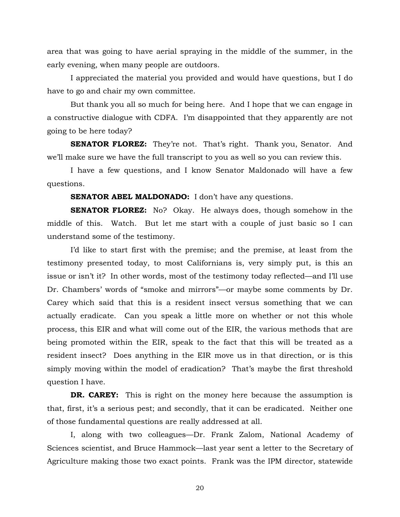area that was going to have aerial spraying in the middle of the summer, in the early evening, when many people are outdoors.

 I appreciated the material you provided and would have questions, but I do have to go and chair my own committee.

 But thank you all so much for being here. And I hope that we can engage in a constructive dialogue with CDFA. I'm disappointed that they apparently are not going to be here today?

**SENATOR FLOREZ:** They're not. That's right. Thank you, Senator. And we'll make sure we have the full transcript to you as well so you can review this.

 I have a few questions, and I know Senator Maldonado will have a few questions.

#### **SENATOR ABEL MALDONADO:** I don't have any questions.

**SENATOR FLOREZ:** No? Okay. He always does, though somehow in the middle of this. Watch. But let me start with a couple of just basic so I can understand some of the testimony.

 I'd like to start first with the premise; and the premise, at least from the testimony presented today, to most Californians is, very simply put, is this an issue or isn't it? In other words, most of the testimony today reflected—and I'll use Dr. Chambers' words of "smoke and mirrors"—or maybe some comments by Dr. Carey which said that this is a resident insect versus something that we can actually eradicate. Can you speak a little more on whether or not this whole process, this EIR and what will come out of the EIR, the various methods that are being promoted within the EIR, speak to the fact that this will be treated as a resident insect? Does anything in the EIR move us in that direction, or is this simply moving within the model of eradication? That's maybe the first threshold question I have.

**DR. CAREY:** This is right on the money here because the assumption is that, first, it's a serious pest; and secondly, that it can be eradicated. Neither one of those fundamental questions are really addressed at all.

 I, along with two colleagues—Dr. Frank Zalom, National Academy of Sciences scientist, and Bruce Hammock—last year sent a letter to the Secretary of Agriculture making those two exact points. Frank was the IPM director, statewide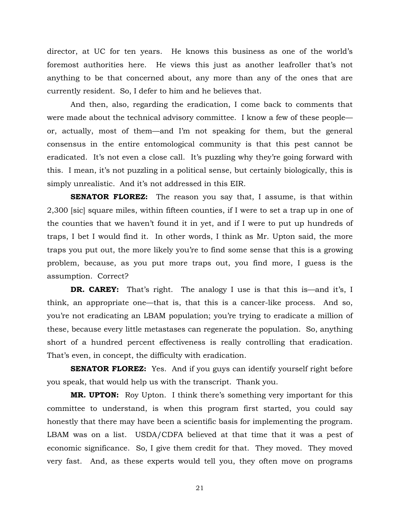director, at UC for ten years. He knows this business as one of the world's foremost authorities here. He views this just as another leafroller that's not anything to be that concerned about, any more than any of the ones that are currently resident. So, I defer to him and he believes that.

 And then, also, regarding the eradication, I come back to comments that were made about the technical advisory committee. I know a few of these people or, actually, most of them—and I'm not speaking for them, but the general consensus in the entire entomological community is that this pest cannot be eradicated. It's not even a close call. It's puzzling why they're going forward with this. I mean, it's not puzzling in a political sense, but certainly biologically, this is simply unrealistic. And it's not addressed in this EIR.

**SENATOR FLOREZ:** The reason you say that, I assume, is that within 2,300 [sic] square miles, within fifteen counties, if I were to set a trap up in one of the counties that we haven't found it in yet, and if I were to put up hundreds of traps, I bet I would find it. In other words, I think as Mr. Upton said, the more traps you put out, the more likely you're to find some sense that this is a growing problem, because, as you put more traps out, you find more, I guess is the assumption. Correct?

**DR. CAREY:** That's right. The analogy I use is that this is—and it's, I think, an appropriate one—that is, that this is a cancer-like process. And so, you're not eradicating an LBAM population; you're trying to eradicate a million of these, because every little metastases can regenerate the population. So, anything short of a hundred percent effectiveness is really controlling that eradication. That's even, in concept, the difficulty with eradication.

**SENATOR FLOREZ:** Yes. And if you guys can identify yourself right before you speak, that would help us with the transcript. Thank you.

**MR. UPTON:** Roy Upton. I think there's something very important for this committee to understand, is when this program first started, you could say honestly that there may have been a scientific basis for implementing the program. LBAM was on a list. USDA/CDFA believed at that time that it was a pest of economic significance. So, I give them credit for that. They moved. They moved very fast. And, as these experts would tell you, they often move on programs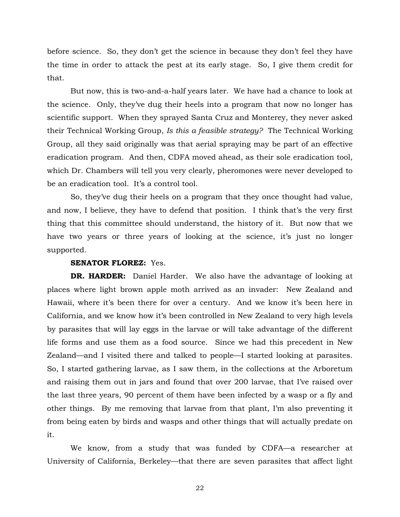before science. So, they don't get the science in because they don't feel they have the time in order to attack the pest at its early stage. So, I give them credit for that.

 But now, this is two-and-a-half years later. We have had a chance to look at the science. Only, they've dug their heels into a program that now no longer has scientific support. When they sprayed Santa Cruz and Monterey, they never asked their Technical Working Group, *Is this a feasible strategy?* The Technical Working Group, all they said originally was that aerial spraying may be part of an effective eradication program. And then, CDFA moved ahead, as their sole eradication tool, which Dr. Chambers will tell you very clearly, pheromones were never developed to be an eradication tool. It's a control tool.

 So, they've dug their heels on a program that they once thought had value, and now, I believe, they have to defend that position. I think that's the very first thing that this committee should understand, the history of it. But now that we have two years or three years of looking at the science, it's just no longer supported.

#### **SENATOR FLOREZ:** Yes.

**DR. HARDER:** Daniel Harder. We also have the advantage of looking at places where light brown apple moth arrived as an invader: New Zealand and Hawaii, where it's been there for over a century. And we know it's been here in California, and we know how it's been controlled in New Zealand to very high levels by parasites that will lay eggs in the larvae or will take advantage of the different life forms and use them as a food source. Since we had this precedent in New Zealand—and I visited there and talked to people—I started looking at parasites. So, I started gathering larvae, as I saw them, in the collections at the Arboretum and raising them out in jars and found that over 200 larvae, that I've raised over the last three years, 90 percent of them have been infected by a wasp or a fly and other things. By me removing that larvae from that plant, I'm also preventing it from being eaten by birds and wasps and other things that will actually predate on it.

 We know, from a study that was funded by CDFA—a researcher at University of California, Berkeley—that there are seven parasites that affect light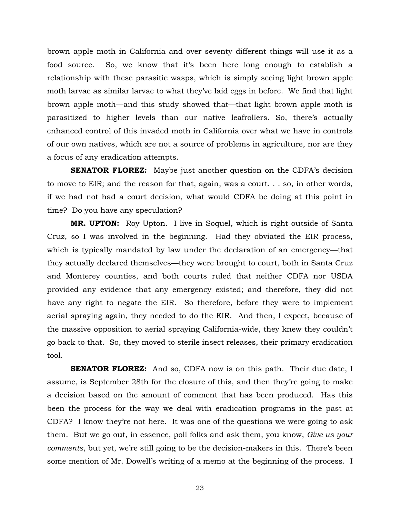brown apple moth in California and over seventy different things will use it as a food source. So, we know that it's been here long enough to establish a relationship with these parasitic wasps, which is simply seeing light brown apple moth larvae as similar larvae to what they've laid eggs in before. We find that light brown apple moth—and this study showed that—that light brown apple moth is parasitized to higher levels than our native leafrollers. So, there's actually enhanced control of this invaded moth in California over what we have in controls of our own natives, which are not a source of problems in agriculture, nor are they a focus of any eradication attempts.

**SENATOR FLOREZ:** Maybe just another question on the CDFA's decision to move to EIR; and the reason for that, again, was a court. . . so, in other words, if we had not had a court decision, what would CDFA be doing at this point in time? Do you have any speculation?

**MR. UPTON:** Roy Upton. I live in Soquel, which is right outside of Santa Cruz, so I was involved in the beginning. Had they obviated the EIR process, which is typically mandated by law under the declaration of an emergency—that they actually declared themselves—they were brought to court, both in Santa Cruz and Monterey counties, and both courts ruled that neither CDFA nor USDA provided any evidence that any emergency existed; and therefore, they did not have any right to negate the EIR. So therefore, before they were to implement aerial spraying again, they needed to do the EIR. And then, I expect, because of the massive opposition to aerial spraying California-wide, they knew they couldn't go back to that. So, they moved to sterile insect releases, their primary eradication tool.

**SENATOR FLOREZ:** And so, CDFA now is on this path. Their due date, I assume, is September 28th for the closure of this, and then they're going to make a decision based on the amount of comment that has been produced. Has this been the process for the way we deal with eradication programs in the past at CDFA? I know they're not here. It was one of the questions we were going to ask them. But we go out, in essence, poll folks and ask them, you know, *Give us your comments*, but yet, we're still going to be the decision-makers in this. There's been some mention of Mr. Dowell's writing of a memo at the beginning of the process. I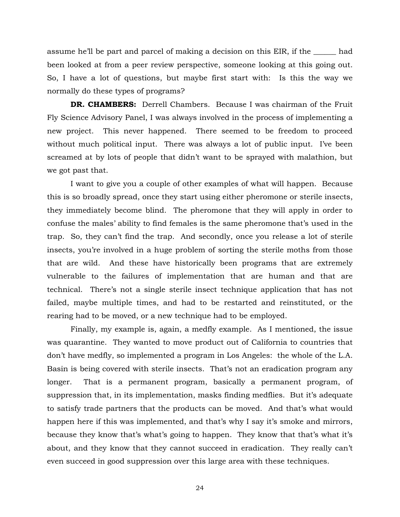assume he'll be part and parcel of making a decision on this EIR, if the had been looked at from a peer review perspective, someone looking at this going out. So, I have a lot of questions, but maybe first start with: Is this the way we normally do these types of programs?

**DR. CHAMBERS:** Derrell Chambers. Because I was chairman of the Fruit Fly Science Advisory Panel, I was always involved in the process of implementing a new project. This never happened. There seemed to be freedom to proceed without much political input. There was always a lot of public input. I've been screamed at by lots of people that didn't want to be sprayed with malathion, but we got past that.

 I want to give you a couple of other examples of what will happen. Because this is so broadly spread, once they start using either pheromone or sterile insects, they immediately become blind. The pheromone that they will apply in order to confuse the males' ability to find females is the same pheromone that's used in the trap. So, they can't find the trap. And secondly, once you release a lot of sterile insects, you're involved in a huge problem of sorting the sterile moths from those that are wild. And these have historically been programs that are extremely vulnerable to the failures of implementation that are human and that are technical. There's not a single sterile insect technique application that has not failed, maybe multiple times, and had to be restarted and reinstituted, or the rearing had to be moved, or a new technique had to be employed.

 Finally, my example is, again, a medfly example. As I mentioned, the issue was quarantine. They wanted to move product out of California to countries that don't have medfly, so implemented a program in Los Angeles: the whole of the L.A. Basin is being covered with sterile insects. That's not an eradication program any longer. That is a permanent program, basically a permanent program, of suppression that, in its implementation, masks finding medflies. But it's adequate to satisfy trade partners that the products can be moved. And that's what would happen here if this was implemented, and that's why I say it's smoke and mirrors, because they know that's what's going to happen. They know that that's what it's about, and they know that they cannot succeed in eradication. They really can't even succeed in good suppression over this large area with these techniques.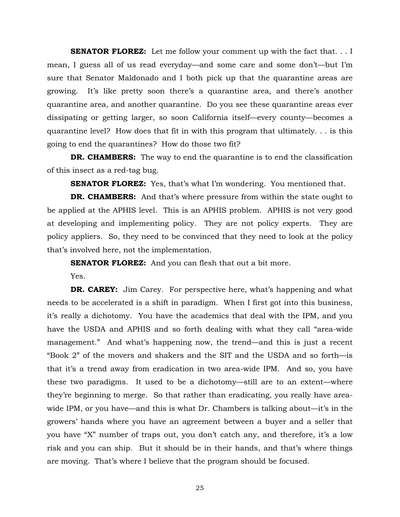**SENATOR FLOREZ:** Let me follow your comment up with the fact that... I mean, I guess all of us read everyday—and some care and some don't—but I'm sure that Senator Maldonado and I both pick up that the quarantine areas are growing. It's like pretty soon there's a quarantine area, and there's another quarantine area, and another quarantine. Do you see these quarantine areas ever dissipating or getting larger, so soon California itself—every county—becomes a quarantine level? How does that fit in with this program that ultimately. . . is this going to end the quarantines? How do those two fit?

**DR. CHAMBERS:** The way to end the quarantine is to end the classification of this insect as a red-tag bug.

**SENATOR FLOREZ:** Yes, that's what I'm wondering. You mentioned that.

**DR. CHAMBERS:** And that's where pressure from within the state ought to be applied at the APHIS level. This is an APHIS problem. APHIS is not very good at developing and implementing policy. They are not policy experts. They are policy appliers. So, they need to be convinced that they need to look at the policy that's involved here, not the implementation.

**SENATOR FLOREZ:** And you can flesh that out a bit more.

Yes.

**DR. CAREY:** Jim Carey. For perspective here, what's happening and what needs to be accelerated is a shift in paradigm. When I first got into this business, it's really a dichotomy. You have the academics that deal with the IPM, and you have the USDA and APHIS and so forth dealing with what they call "area-wide management." And what's happening now, the trend—and this is just a recent "Book 2" of the movers and shakers and the SIT and the USDA and so forth—is that it's a trend away from eradication in two area-wide IPM. And so, you have these two paradigms. It used to be a dichotomy—still are to an extent—where they're beginning to merge. So that rather than eradicating, you really have areawide IPM, or you have—and this is what Dr. Chambers is talking about—it's in the growers' hands where you have an agreement between a buyer and a seller that you have "X" number of traps out, you don't catch any, and therefore, it's a low risk and you can ship. But it should be in their hands, and that's where things are moving. That's where I believe that the program should be focused.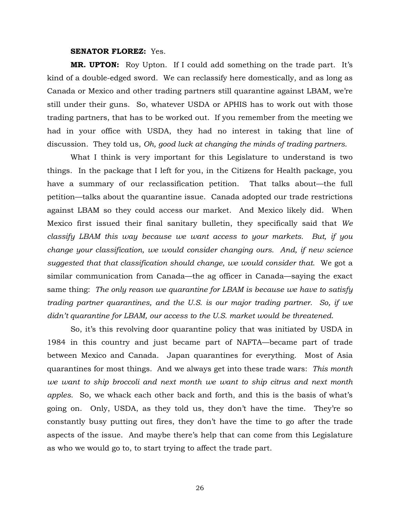#### **SENATOR FLOREZ:** Yes.

**MR. UPTON:** Roy Upton. If I could add something on the trade part. It's kind of a double-edged sword. We can reclassify here domestically, and as long as Canada or Mexico and other trading partners still quarantine against LBAM, we're still under their guns. So, whatever USDA or APHIS has to work out with those trading partners, that has to be worked out. If you remember from the meeting we had in your office with USDA, they had no interest in taking that line of discussion. They told us, *Oh, good luck at changing the minds of trading partners*.

 What I think is very important for this Legislature to understand is two things. In the package that I left for you, in the Citizens for Health package, you have a summary of our reclassification petition. That talks about—the full petition—talks about the quarantine issue. Canada adopted our trade restrictions against LBAM so they could access our market. And Mexico likely did. When Mexico first issued their final sanitary bulletin, they specifically said that *We classify LBAM this way because we want access to your markets. But, if you change your classification, we would consider changing ours. And, if new science suggested that that classification should change, we would consider that*. We got a similar communication from Canada—the ag officer in Canada—saying the exact same thing: *The only reason we quarantine for LBAM is because we have to satisfy trading partner quarantines, and the U.S. is our major trading partner. So, if we didn't quarantine for LBAM, our access to the U.S. market would be threatened*.

 So, it's this revolving door quarantine policy that was initiated by USDA in 1984 in this country and just became part of NAFTA—became part of trade between Mexico and Canada. Japan quarantines for everything. Most of Asia quarantines for most things. And we always get into these trade wars: *This month we want to ship broccoli and next month we want to ship citrus and next month apples*. So, we whack each other back and forth, and this is the basis of what's going on. Only, USDA, as they told us, they don't have the time. They're so constantly busy putting out fires, they don't have the time to go after the trade aspects of the issue. And maybe there's help that can come from this Legislature as who we would go to, to start trying to affect the trade part.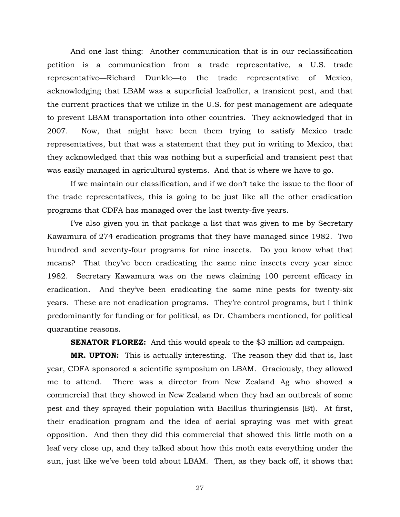And one last thing: Another communication that is in our reclassification petition is a communication from a trade representative, a U.S. trade representative—Richard Dunkle—to the trade representative of Mexico, acknowledging that LBAM was a superficial leafroller, a transient pest, and that the current practices that we utilize in the U.S. for pest management are adequate to prevent LBAM transportation into other countries. They acknowledged that in 2007. Now, that might have been them trying to satisfy Mexico trade representatives, but that was a statement that they put in writing to Mexico, that they acknowledged that this was nothing but a superficial and transient pest that was easily managed in agricultural systems. And that is where we have to go.

 If we maintain our classification, and if we don't take the issue to the floor of the trade representatives, this is going to be just like all the other eradication programs that CDFA has managed over the last twenty-five years.

 I've also given you in that package a list that was given to me by Secretary Kawamura of 274 eradication programs that they have managed since 1982. Two hundred and seventy-four programs for nine insects. Do you know what that means? That they've been eradicating the same nine insects every year since 1982. Secretary Kawamura was on the news claiming 100 percent efficacy in eradication. And they've been eradicating the same nine pests for twenty-six years. These are not eradication programs. They're control programs, but I think predominantly for funding or for political, as Dr. Chambers mentioned, for political quarantine reasons.

**SENATOR FLOREZ:** And this would speak to the \$3 million ad campaign.

**MR. UPTON:** This is actually interesting. The reason they did that is, last year, CDFA sponsored a scientific symposium on LBAM. Graciously, they allowed me to attend. There was a director from New Zealand Ag who showed a commercial that they showed in New Zealand when they had an outbreak of some pest and they sprayed their population with Bacillus thuringiensis (Bt). At first, their eradication program and the idea of aerial spraying was met with great opposition. And then they did this commercial that showed this little moth on a leaf very close up, and they talked about how this moth eats everything under the sun, just like we've been told about LBAM. Then, as they back off, it shows that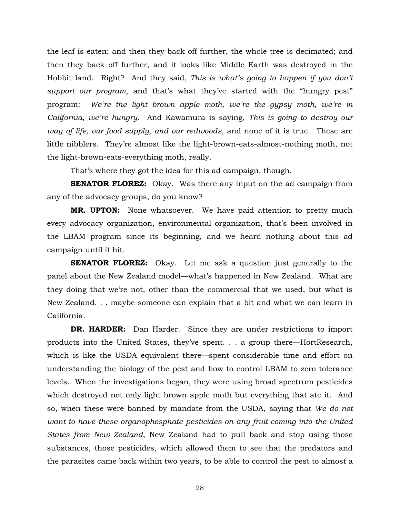the leaf is eaten; and then they back off further, the whole tree is decimated; and then they back off further, and it looks like Middle Earth was destroyed in the Hobbit land. Right? And they said, *This is what's going to happen if you don't support our program*, and that's what they've started with the "hungry pest" program: *We're the light brown apple moth, we're the gypsy moth, we're in California, we're hungry*. And Kawamura is saying, *This is going to destroy our way of life, our food supply, and our redwoods*, and none of it is true. These are little nibblers. They're almost like the light-brown-eats-almost-nothing moth, not the light-brown-eats-everything moth, really.

That's where they got the idea for this ad campaign, though.

**SENATOR FLOREZ:** Okay. Was there any input on the ad campaign from any of the advocacy groups, do you know?

**MR. UPTON:** None whatsoever. We have paid attention to pretty much every advocacy organization, environmental organization, that's been involved in the LBAM program since its beginning, and we heard nothing about this ad campaign until it hit.

**SENATOR FLOREZ:** Okay. Let me ask a question just generally to the panel about the New Zealand model—what's happened in New Zealand. What are they doing that we're not, other than the commercial that we used, but what is New Zealand. . . maybe someone can explain that a bit and what we can learn in California.

**DR. HARDER:** Dan Harder. Since they are under restrictions to import products into the United States, they've spent. . . a group there—HortResearch, which is like the USDA equivalent there—spent considerable time and effort on understanding the biology of the pest and how to control LBAM to zero tolerance levels. When the investigations began, they were using broad spectrum pesticides which destroyed not only light brown apple moth but everything that ate it. And so, when these were banned by mandate from the USDA, saying that *We do not want to have these organophosphate pesticides on any fruit coming into the United States from New Zealand*, New Zealand had to pull back and stop using those substances, those pesticides, which allowed them to see that the predators and the parasites came back within two years, to be able to control the pest to almost a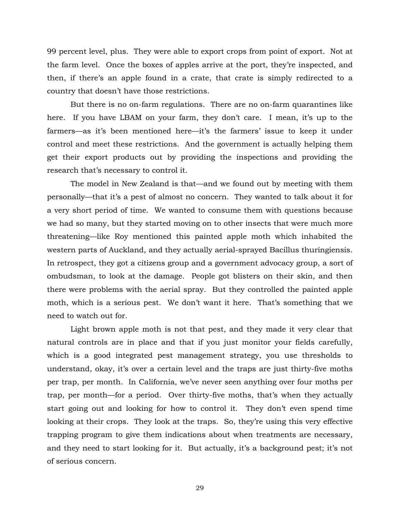99 percent level, plus. They were able to export crops from point of export. Not at the farm level. Once the boxes of apples arrive at the port, they're inspected, and then, if there's an apple found in a crate, that crate is simply redirected to a country that doesn't have those restrictions.

 But there is no on-farm regulations. There are no on-farm quarantines like here. If you have LBAM on your farm, they don't care. I mean, it's up to the farmers—as it's been mentioned here—it's the farmers' issue to keep it under control and meet these restrictions. And the government is actually helping them get their export products out by providing the inspections and providing the research that's necessary to control it.

 The model in New Zealand is that—and we found out by meeting with them personally—that it's a pest of almost no concern. They wanted to talk about it for a very short period of time. We wanted to consume them with questions because we had so many, but they started moving on to other insects that were much more threatening—like Roy mentioned this painted apple moth which inhabited the western parts of Auckland, and they actually aerial-sprayed Bacillus thuringiensis. In retrospect, they got a citizens group and a government advocacy group, a sort of ombudsman, to look at the damage. People got blisters on their skin, and then there were problems with the aerial spray. But they controlled the painted apple moth, which is a serious pest. We don't want it here. That's something that we need to watch out for.

 Light brown apple moth is not that pest, and they made it very clear that natural controls are in place and that if you just monitor your fields carefully, which is a good integrated pest management strategy, you use thresholds to understand, okay, it's over a certain level and the traps are just thirty-five moths per trap, per month. In California, we've never seen anything over four moths per trap, per month—for a period. Over thirty-five moths, that's when they actually start going out and looking for how to control it. They don't even spend time looking at their crops. They look at the traps. So, they're using this very effective trapping program to give them indications about when treatments are necessary, and they need to start looking for it. But actually, it's a background pest; it's not of serious concern.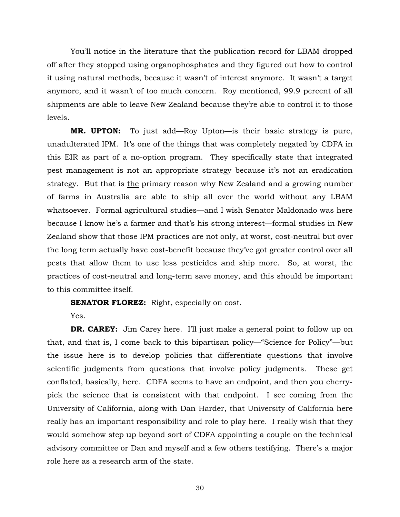You'll notice in the literature that the publication record for LBAM dropped off after they stopped using organophosphates and they figured out how to control it using natural methods, because it wasn't of interest anymore. It wasn't a target anymore, and it wasn't of too much concern. Roy mentioned, 99.9 percent of all shipments are able to leave New Zealand because they're able to control it to those levels.

**MR. UPTON:** To just add—Roy Upton—is their basic strategy is pure, unadulterated IPM. It's one of the things that was completely negated by CDFA in this EIR as part of a no-option program. They specifically state that integrated pest management is not an appropriate strategy because it's not an eradication strategy. But that is the primary reason why New Zealand and a growing number of farms in Australia are able to ship all over the world without any LBAM whatsoever. Formal agricultural studies—and I wish Senator Maldonado was here because I know he's a farmer and that's his strong interest—formal studies in New Zealand show that those IPM practices are not only, at worst, cost-neutral but over the long term actually have cost-benefit because they've got greater control over all pests that allow them to use less pesticides and ship more. So, at worst, the practices of cost-neutral and long-term save money, and this should be important to this committee itself.

**SENATOR FLOREZ:** Right, especially on cost.

Yes.

**DR. CAREY:** Jim Carey here. I'll just make a general point to follow up on that, and that is, I come back to this bipartisan policy—"Science for Policy"—but the issue here is to develop policies that differentiate questions that involve scientific judgments from questions that involve policy judgments. These get conflated, basically, here. CDFA seems to have an endpoint, and then you cherrypick the science that is consistent with that endpoint. I see coming from the University of California, along with Dan Harder, that University of California here really has an important responsibility and role to play here. I really wish that they would somehow step up beyond sort of CDFA appointing a couple on the technical advisory committee or Dan and myself and a few others testifying. There's a major role here as a research arm of the state.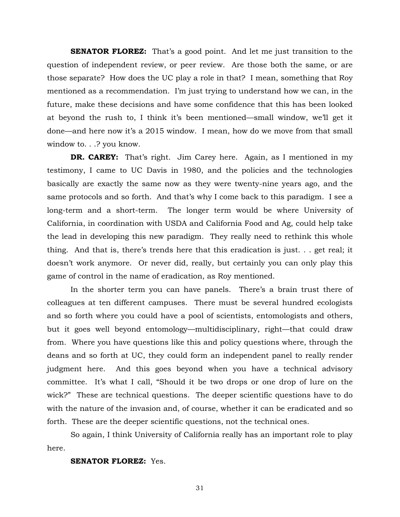**SENATOR FLOREZ:** That's a good point. And let me just transition to the question of independent review, or peer review. Are those both the same, or are those separate? How does the UC play a role in that? I mean, something that Roy mentioned as a recommendation. I'm just trying to understand how we can, in the future, make these decisions and have some confidence that this has been looked at beyond the rush to, I think it's been mentioned—small window, we'll get it done—and here now it's a 2015 window. I mean, how do we move from that small window to. . .? you know.

**DR. CAREY:** That's right. Jim Carey here. Again, as I mentioned in my testimony, I came to UC Davis in 1980, and the policies and the technologies basically are exactly the same now as they were twenty-nine years ago, and the same protocols and so forth. And that's why I come back to this paradigm. I see a long-term and a short-term. The longer term would be where University of California, in coordination with USDA and California Food and Ag, could help take the lead in developing this new paradigm. They really need to rethink this whole thing. And that is, there's trends here that this eradication is just. . . get real; it doesn't work anymore. Or never did, really, but certainly you can only play this game of control in the name of eradication, as Roy mentioned.

 In the shorter term you can have panels. There's a brain trust there of colleagues at ten different campuses. There must be several hundred ecologists and so forth where you could have a pool of scientists, entomologists and others, but it goes well beyond entomology—multidisciplinary, right—that could draw from. Where you have questions like this and policy questions where, through the deans and so forth at UC, they could form an independent panel to really render judgment here. And this goes beyond when you have a technical advisory committee. It's what I call, "Should it be two drops or one drop of lure on the wick?" These are technical questions. The deeper scientific questions have to do with the nature of the invasion and, of course, whether it can be eradicated and so forth. These are the deeper scientific questions, not the technical ones.

 So again, I think University of California really has an important role to play here.

## **SENATOR FLOREZ:** Yes.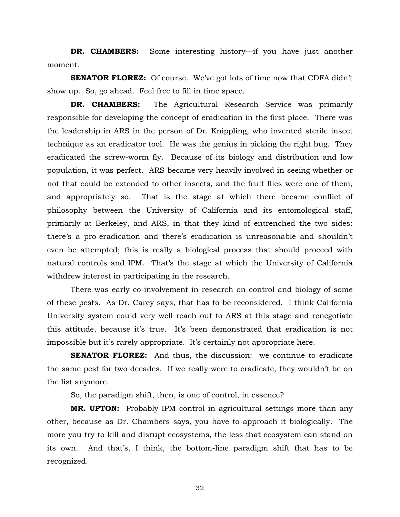**DR. CHAMBERS:** Some interesting history—if you have just another moment.

**SENATOR FLOREZ:** Of course. We've got lots of time now that CDFA didn't show up. So, go ahead. Feel free to fill in time space.

**DR. CHAMBERS:** The Agricultural Research Service was primarily responsible for developing the concept of eradication in the first place. There was the leadership in ARS in the person of Dr. Knippling, who invented sterile insect technique as an eradicator tool. He was the genius in picking the right bug. They eradicated the screw-worm fly. Because of its biology and distribution and low population, it was perfect. ARS became very heavily involved in seeing whether or not that could be extended to other insects, and the fruit flies were one of them, and appropriately so. That is the stage at which there became conflict of philosophy between the University of California and its entomological staff, primarily at Berkeley, and ARS, in that they kind of entrenched the two sides: there's a pro-eradication and there's eradication is unreasonable and shouldn't even be attempted; this is really a biological process that should proceed with natural controls and IPM. That's the stage at which the University of California withdrew interest in participating in the research.

 There was early co-involvement in research on control and biology of some of these pests. As Dr. Carey says, that has to be reconsidered. I think California University system could very well reach out to ARS at this stage and renegotiate this attitude, because it's true. It's been demonstrated that eradication is not impossible but it's rarely appropriate. It's certainly not appropriate here.

**SENATOR FLOREZ:** And thus, the discussion: we continue to eradicate the same pest for two decades. If we really were to eradicate, they wouldn't be on the list anymore.

So, the paradigm shift, then, is one of control, in essence?

**MR. UPTON:** Probably IPM control in agricultural settings more than any other, because as Dr. Chambers says, you have to approach it biologically. The more you try to kill and disrupt ecosystems, the less that ecosystem can stand on its own. And that's, I think, the bottom-line paradigm shift that has to be recognized.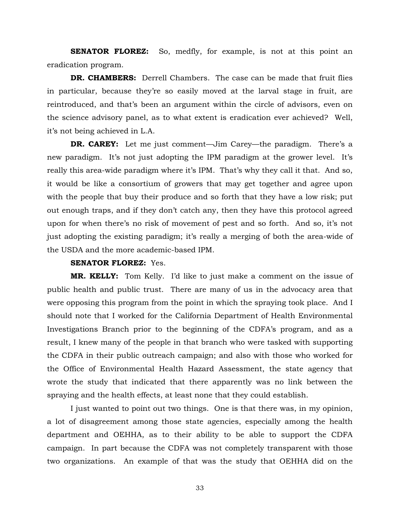**SENATOR FLOREZ:** So, medfly, for example, is not at this point an eradication program.

**DR. CHAMBERS:** Derrell Chambers. The case can be made that fruit flies in particular, because they're so easily moved at the larval stage in fruit, are reintroduced, and that's been an argument within the circle of advisors, even on the science advisory panel, as to what extent is eradication ever achieved? Well, it's not being achieved in L.A.

**DR. CAREY:** Let me just comment—Jim Carey—the paradigm. There's a new paradigm. It's not just adopting the IPM paradigm at the grower level. It's really this area-wide paradigm where it's IPM. That's why they call it that. And so, it would be like a consortium of growers that may get together and agree upon with the people that buy their produce and so forth that they have a low risk; put out enough traps, and if they don't catch any, then they have this protocol agreed upon for when there's no risk of movement of pest and so forth. And so, it's not just adopting the existing paradigm; it's really a merging of both the area-wide of the USDA and the more academic-based IPM.

# **SENATOR FLOREZ:** Yes.

**MR. KELLY:** Tom Kelly. I'd like to just make a comment on the issue of public health and public trust. There are many of us in the advocacy area that were opposing this program from the point in which the spraying took place. And I should note that I worked for the California Department of Health Environmental Investigations Branch prior to the beginning of the CDFA's program, and as a result, I knew many of the people in that branch who were tasked with supporting the CDFA in their public outreach campaign; and also with those who worked for the Office of Environmental Health Hazard Assessment, the state agency that wrote the study that indicated that there apparently was no link between the spraying and the health effects, at least none that they could establish.

 I just wanted to point out two things. One is that there was, in my opinion, a lot of disagreement among those state agencies, especially among the health department and OEHHA, as to their ability to be able to support the CDFA campaign. In part because the CDFA was not completely transparent with those two organizations. An example of that was the study that OEHHA did on the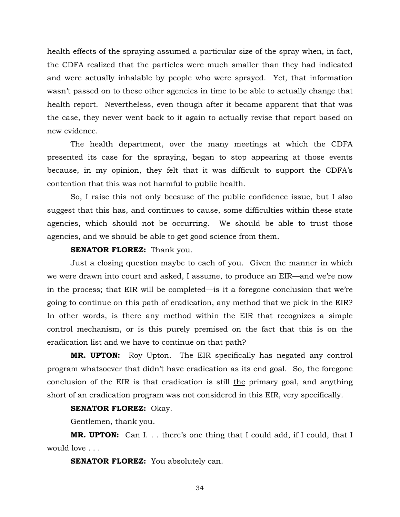health effects of the spraying assumed a particular size of the spray when, in fact, the CDFA realized that the particles were much smaller than they had indicated and were actually inhalable by people who were sprayed. Yet, that information wasn't passed on to these other agencies in time to be able to actually change that health report. Nevertheless, even though after it became apparent that that was the case, they never went back to it again to actually revise that report based on new evidence.

 The health department, over the many meetings at which the CDFA presented its case for the spraying, began to stop appearing at those events because, in my opinion, they felt that it was difficult to support the CDFA's contention that this was not harmful to public health.

 So, I raise this not only because of the public confidence issue, but I also suggest that this has, and continues to cause, some difficulties within these state agencies, which should not be occurring. We should be able to trust those agencies, and we should be able to get good science from them.

# **SENATOR FLOREZ:** Thank you.

 Just a closing question maybe to each of you. Given the manner in which we were drawn into court and asked, I assume, to produce an EIR—and we're now in the process; that EIR will be completed—is it a foregone conclusion that we're going to continue on this path of eradication, any method that we pick in the EIR? In other words, is there any method within the EIR that recognizes a simple control mechanism, or is this purely premised on the fact that this is on the eradication list and we have to continue on that path?

**MR. UPTON:** Roy Upton. The EIR specifically has negated any control program whatsoever that didn't have eradication as its end goal. So, the foregone conclusion of the EIR is that eradication is still the primary goal, and anything short of an eradication program was not considered in this EIR, very specifically.

# **SENATOR FLOREZ:** Okay.

Gentlemen, thank you.

**MR. UPTON:** Can I. . . there's one thing that I could add, if I could, that I would love . . .

**SENATOR FLOREZ:** You absolutely can.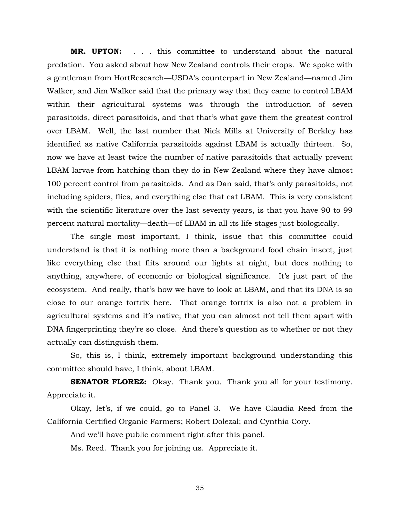**MR. UPTON:** . . . this committee to understand about the natural predation. You asked about how New Zealand controls their crops. We spoke with a gentleman from HortResearch—USDA's counterpart in New Zealand—named Jim Walker, and Jim Walker said that the primary way that they came to control LBAM within their agricultural systems was through the introduction of seven parasitoids, direct parasitoids, and that that's what gave them the greatest control over LBAM. Well, the last number that Nick Mills at University of Berkley has identified as native California parasitoids against LBAM is actually thirteen. So, now we have at least twice the number of native parasitoids that actually prevent LBAM larvae from hatching than they do in New Zealand where they have almost 100 percent control from parasitoids. And as Dan said, that's only parasitoids, not including spiders, flies, and everything else that eat LBAM. This is very consistent with the scientific literature over the last seventy years, is that you have 90 to 99 percent natural mortality—death—of LBAM in all its life stages just biologically.

 The single most important, I think, issue that this committee could understand is that it is nothing more than a background food chain insect, just like everything else that flits around our lights at night, but does nothing to anything, anywhere, of economic or biological significance. It's just part of the ecosystem. And really, that's how we have to look at LBAM, and that its DNA is so close to our orange tortrix here. That orange tortrix is also not a problem in agricultural systems and it's native; that you can almost not tell them apart with DNA fingerprinting they're so close. And there's question as to whether or not they actually can distinguish them.

 So, this is, I think, extremely important background understanding this committee should have, I think, about LBAM.

**SENATOR FLOREZ:** Okay. Thank you. Thank you all for your testimony. Appreciate it.

 Okay, let's, if we could, go to Panel 3. We have Claudia Reed from the California Certified Organic Farmers; Robert Dolezal; and Cynthia Cory.

And we'll have public comment right after this panel.

Ms. Reed. Thank you for joining us. Appreciate it.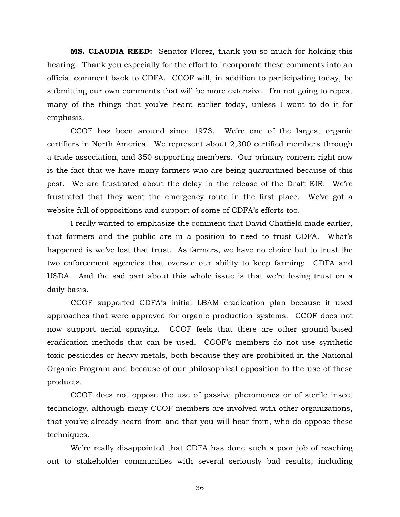**MS. CLAUDIA REED:** Senator Florez, thank you so much for holding this hearing. Thank you especially for the effort to incorporate these comments into an official comment back to CDFA. CCOF will, in addition to participating today, be submitting our own comments that will be more extensive. I'm not going to repeat many of the things that you've heard earlier today, unless I want to do it for emphasis.

 CCOF has been around since 1973. We're one of the largest organic certifiers in North America. We represent about 2,300 certified members through a trade association, and 350 supporting members. Our primary concern right now is the fact that we have many farmers who are being quarantined because of this pest. We are frustrated about the delay in the release of the Draft EIR. We're frustrated that they went the emergency route in the first place. We've got a website full of oppositions and support of some of CDFA's efforts too.

 I really wanted to emphasize the comment that David Chatfield made earlier, that farmers and the public are in a position to need to trust CDFA. What's happened is we've lost that trust. As farmers, we have no choice but to trust the two enforcement agencies that oversee our ability to keep farming: CDFA and USDA. And the sad part about this whole issue is that we're losing trust on a daily basis.

 CCOF supported CDFA's initial LBAM eradication plan because it used approaches that were approved for organic production systems. CCOF does not now support aerial spraying. CCOF feels that there are other ground-based eradication methods that can be used. CCOF's members do not use synthetic toxic pesticides or heavy metals, both because they are prohibited in the National Organic Program and because of our philosophical opposition to the use of these products.

 CCOF does not oppose the use of passive pheromones or of sterile insect technology, although many CCOF members are involved with other organizations, that you've already heard from and that you will hear from, who do oppose these techniques.

 We're really disappointed that CDFA has done such a poor job of reaching out to stakeholder communities with several seriously bad results, including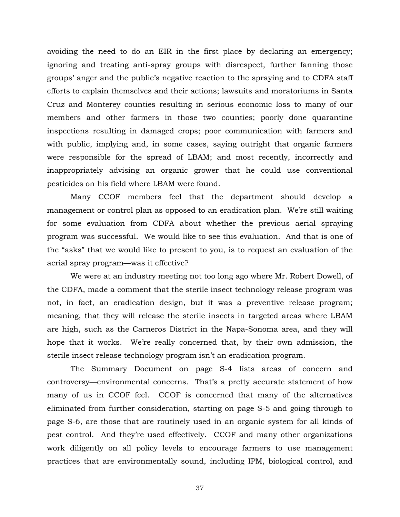avoiding the need to do an EIR in the first place by declaring an emergency; ignoring and treating anti-spray groups with disrespect, further fanning those groups' anger and the public's negative reaction to the spraying and to CDFA staff efforts to explain themselves and their actions; lawsuits and moratoriums in Santa Cruz and Monterey counties resulting in serious economic loss to many of our members and other farmers in those two counties; poorly done quarantine inspections resulting in damaged crops; poor communication with farmers and with public, implying and, in some cases, saying outright that organic farmers were responsible for the spread of LBAM; and most recently, incorrectly and inappropriately advising an organic grower that he could use conventional pesticides on his field where LBAM were found.

 Many CCOF members feel that the department should develop a management or control plan as opposed to an eradication plan. We're still waiting for some evaluation from CDFA about whether the previous aerial spraying program was successful. We would like to see this evaluation. And that is one of the "asks" that we would like to present to you, is to request an evaluation of the aerial spray program—was it effective?

 We were at an industry meeting not too long ago where Mr. Robert Dowell, of the CDFA, made a comment that the sterile insect technology release program was not, in fact, an eradication design, but it was a preventive release program; meaning, that they will release the sterile insects in targeted areas where LBAM are high, such as the Carneros District in the Napa-Sonoma area, and they will hope that it works. We're really concerned that, by their own admission, the sterile insect release technology program isn't an eradication program.

 The Summary Document on page S-4 lists areas of concern and controversy—environmental concerns. That's a pretty accurate statement of how many of us in CCOF feel. CCOF is concerned that many of the alternatives eliminated from further consideration, starting on page S-5 and going through to page S-6, are those that are routinely used in an organic system for all kinds of pest control. And they're used effectively. CCOF and many other organizations work diligently on all policy levels to encourage farmers to use management practices that are environmentally sound, including IPM, biological control, and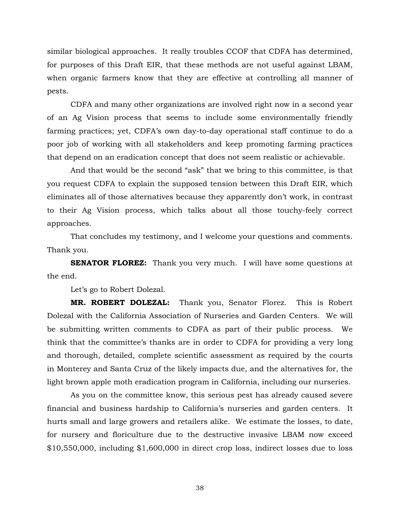similar biological approaches. It really troubles CCOF that CDFA has determined, for purposes of this Draft EIR, that these methods are not useful against LBAM, when organic farmers know that they are effective at controlling all manner of pests.

 CDFA and many other organizations are involved right now in a second year of an Ag Vision process that seems to include some environmentally friendly farming practices; yet, CDFA's own day-to-day operational staff continue to do a poor job of working with all stakeholders and keep promoting farming practices that depend on an eradication concept that does not seem realistic or achievable.

 And that would be the second "ask" that we bring to this committee, is that you request CDFA to explain the supposed tension between this Draft EIR, which eliminates all of those alternatives because they apparently don't work, in contrast to their Ag Vision process, which talks about all those touchy-feely correct approaches.

 That concludes my testimony, and I welcome your questions and comments. Thank you.

**SENATOR FLOREZ:** Thank you very much. I will have some questions at the end.

Let's go to Robert Dolezal.

**MR. ROBERT DOLEZAL:** Thank you, Senator Florez. This is Robert Dolezal with the California Association of Nurseries and Garden Centers. We will be submitting written comments to CDFA as part of their public process. We think that the committee's thanks are in order to CDFA for providing a very long and thorough, detailed, complete scientific assessment as required by the courts in Monterey and Santa Cruz of the likely impacts due, and the alternatives for, the light brown apple moth eradication program in California, including our nurseries.

 As you on the committee know, this serious pest has already caused severe financial and business hardship to California's nurseries and garden centers. It hurts small and large growers and retailers alike. We estimate the losses, to date, for nursery and floriculture due to the destructive invasive LBAM now exceed \$10,550,000, including \$1,600,000 in direct crop loss, indirect losses due to loss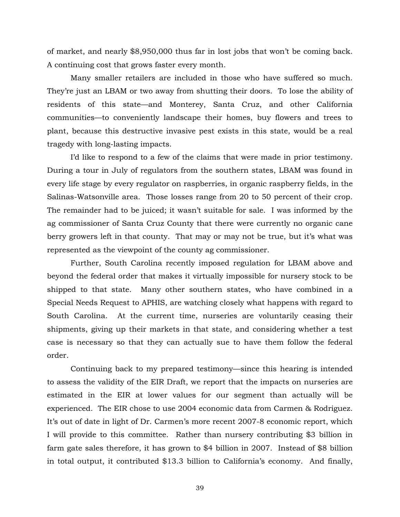of market, and nearly \$8,950,000 thus far in lost jobs that won't be coming back. A continuing cost that grows faster every month.

 Many smaller retailers are included in those who have suffered so much. They're just an LBAM or two away from shutting their doors. To lose the ability of residents of this state—and Monterey, Santa Cruz, and other California communities—to conveniently landscape their homes, buy flowers and trees to plant, because this destructive invasive pest exists in this state, would be a real tragedy with long-lasting impacts.

 I'd like to respond to a few of the claims that were made in prior testimony. During a tour in July of regulators from the southern states, LBAM was found in every life stage by every regulator on raspberries, in organic raspberry fields, in the Salinas-Watsonville area. Those losses range from 20 to 50 percent of their crop. The remainder had to be juiced; it wasn't suitable for sale. I was informed by the ag commissioner of Santa Cruz County that there were currently no organic cane berry growers left in that county. That may or may not be true, but it's what was represented as the viewpoint of the county ag commissioner.

 Further, South Carolina recently imposed regulation for LBAM above and beyond the federal order that makes it virtually impossible for nursery stock to be shipped to that state. Many other southern states, who have combined in a Special Needs Request to APHIS, are watching closely what happens with regard to South Carolina. At the current time, nurseries are voluntarily ceasing their shipments, giving up their markets in that state, and considering whether a test case is necessary so that they can actually sue to have them follow the federal order.

 Continuing back to my prepared testimony—since this hearing is intended to assess the validity of the EIR Draft, we report that the impacts on nurseries are estimated in the EIR at lower values for our segment than actually will be experienced. The EIR chose to use 2004 economic data from Carmen & Rodriguez. It's out of date in light of Dr. Carmen's more recent 2007-8 economic report, which I will provide to this committee. Rather than nursery contributing \$3 billion in farm gate sales therefore, it has grown to \$4 billion in 2007. Instead of \$8 billion in total output, it contributed \$13.3 billion to California's economy. And finally,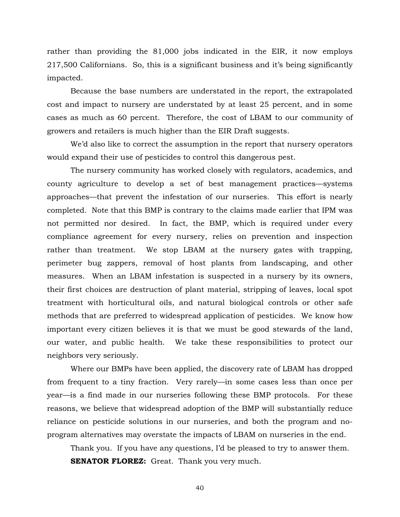rather than providing the 81,000 jobs indicated in the EIR, it now employs 217,500 Californians. So, this is a significant business and it's being significantly impacted.

 Because the base numbers are understated in the report, the extrapolated cost and impact to nursery are understated by at least 25 percent, and in some cases as much as 60 percent. Therefore, the cost of LBAM to our community of growers and retailers is much higher than the EIR Draft suggests.

 We'd also like to correct the assumption in the report that nursery operators would expand their use of pesticides to control this dangerous pest.

 The nursery community has worked closely with regulators, academics, and county agriculture to develop a set of best management practices—systems approaches—that prevent the infestation of our nurseries. This effort is nearly completed. Note that this BMP is contrary to the claims made earlier that IPM was not permitted nor desired. In fact, the BMP, which is required under every compliance agreement for every nursery, relies on prevention and inspection rather than treatment. We stop LBAM at the nursery gates with trapping, perimeter bug zappers, removal of host plants from landscaping, and other measures. When an LBAM infestation is suspected in a nursery by its owners, their first choices are destruction of plant material, stripping of leaves, local spot treatment with horticultural oils, and natural biological controls or other safe methods that are preferred to widespread application of pesticides. We know how important every citizen believes it is that we must be good stewards of the land, our water, and public health. We take these responsibilities to protect our neighbors very seriously.

 Where our BMPs have been applied, the discovery rate of LBAM has dropped from frequent to a tiny fraction. Very rarely—in some cases less than once per year—is a find made in our nurseries following these BMP protocols. For these reasons, we believe that widespread adoption of the BMP will substantially reduce reliance on pesticide solutions in our nurseries, and both the program and noprogram alternatives may overstate the impacts of LBAM on nurseries in the end.

 Thank you. If you have any questions, I'd be pleased to try to answer them. **SENATOR FLOREZ:** Great. Thank you very much.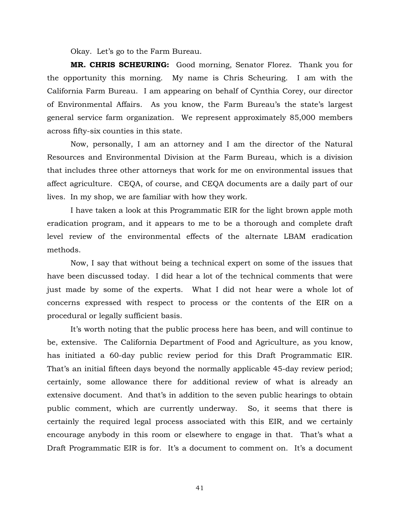Okay. Let's go to the Farm Bureau.

**MR. CHRIS SCHEURING:** Good morning, Senator Florez. Thank you for the opportunity this morning. My name is Chris Scheuring. I am with the California Farm Bureau. I am appearing on behalf of Cynthia Corey, our director of Environmental Affairs. As you know, the Farm Bureau's the state's largest general service farm organization. We represent approximately 85,000 members across fifty-six counties in this state.

 Now, personally, I am an attorney and I am the director of the Natural Resources and Environmental Division at the Farm Bureau, which is a division that includes three other attorneys that work for me on environmental issues that affect agriculture. CEQA, of course, and CEQA documents are a daily part of our lives. In my shop, we are familiar with how they work.

 I have taken a look at this Programmatic EIR for the light brown apple moth eradication program, and it appears to me to be a thorough and complete draft level review of the environmental effects of the alternate LBAM eradication methods.

 Now, I say that without being a technical expert on some of the issues that have been discussed today. I did hear a lot of the technical comments that were just made by some of the experts. What I did not hear were a whole lot of concerns expressed with respect to process or the contents of the EIR on a procedural or legally sufficient basis.

 It's worth noting that the public process here has been, and will continue to be, extensive. The California Department of Food and Agriculture, as you know, has initiated a 60-day public review period for this Draft Programmatic EIR. That's an initial fifteen days beyond the normally applicable 45-day review period; certainly, some allowance there for additional review of what is already an extensive document. And that's in addition to the seven public hearings to obtain public comment, which are currently underway. So, it seems that there is certainly the required legal process associated with this EIR, and we certainly encourage anybody in this room or elsewhere to engage in that. That's what a Draft Programmatic EIR is for. It's a document to comment on. It's a document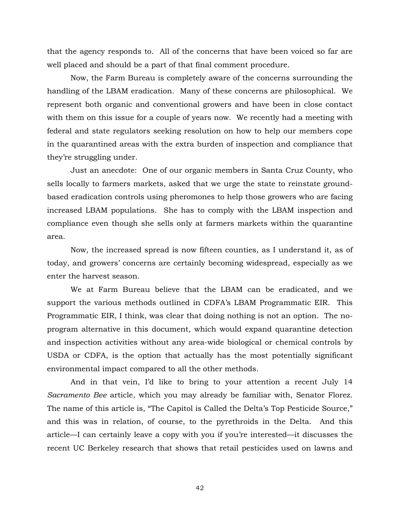that the agency responds to. All of the concerns that have been voiced so far are well placed and should be a part of that final comment procedure.

 Now, the Farm Bureau is completely aware of the concerns surrounding the handling of the LBAM eradication. Many of these concerns are philosophical. We represent both organic and conventional growers and have been in close contact with them on this issue for a couple of years now. We recently had a meeting with federal and state regulators seeking resolution on how to help our members cope in the quarantined areas with the extra burden of inspection and compliance that they're struggling under.

 Just an anecdote: One of our organic members in Santa Cruz County, who sells locally to farmers markets, asked that we urge the state to reinstate groundbased eradication controls using pheromones to help those growers who are facing increased LBAM populations. She has to comply with the LBAM inspection and compliance even though she sells only at farmers markets within the quarantine area.

 Now, the increased spread is now fifteen counties, as I understand it, as of today, and growers' concerns are certainly becoming widespread, especially as we enter the harvest season.

 We at Farm Bureau believe that the LBAM can be eradicated, and we support the various methods outlined in CDFA's LBAM Programmatic EIR. This Programmatic EIR, I think, was clear that doing nothing is not an option. The noprogram alternative in this document, which would expand quarantine detection and inspection activities without any area-wide biological or chemical controls by USDA or CDFA, is the option that actually has the most potentially significant environmental impact compared to all the other methods.

 And in that vein, I'd like to bring to your attention a recent July 14 *Sacramento Bee* article, which you may already be familiar with, Senator Florez. The name of this article is, "The Capitol is Called the Delta's Top Pesticide Source," and this was in relation, of course, to the pyrethroids in the Delta. And this article—I can certainly leave a copy with you if you're interested—it discusses the recent UC Berkeley research that shows that retail pesticides used on lawns and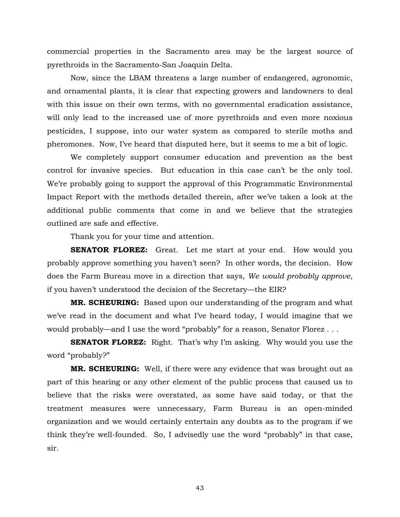commercial properties in the Sacramento area may be the largest source of pyrethroids in the Sacramento-San Joaquin Delta.

 Now, since the LBAM threatens a large number of endangered, agronomic, and ornamental plants, it is clear that expecting growers and landowners to deal with this issue on their own terms, with no governmental eradication assistance, will only lead to the increased use of more pyrethroids and even more noxious pesticides, I suppose, into our water system as compared to sterile moths and pheromones. Now, I've heard that disputed here, but it seems to me a bit of logic.

 We completely support consumer education and prevention as the best control for invasive species. But education in this case can't be the only tool. We're probably going to support the approval of this Programmatic Environmental Impact Report with the methods detailed therein, after we've taken a look at the additional public comments that come in and we believe that the strategies outlined are safe and effective.

Thank you for your time and attention.

**SENATOR FLOREZ:** Great. Let me start at your end. How would you probably approve something you haven't seen? In other words, the decision. How does the Farm Bureau move in a direction that says, *We would probably approve*, if you haven't understood the decision of the Secretary—the EIR?

**MR. SCHEURING:** Based upon our understanding of the program and what we've read in the document and what I've heard today, I would imagine that we would probably—and I use the word "probably" for a reason, Senator Florez . . .

**SENATOR FLOREZ:** Right. That's why I'm asking. Why would you use the word "probably?"

**MR. SCHEURING:** Well, if there were any evidence that was brought out as part of this hearing or any other element of the public process that caused us to believe that the risks were overstated, as some have said today, or that the treatment measures were unnecessary, Farm Bureau is an open-minded organization and we would certainly entertain any doubts as to the program if we think they're well-founded. So, I advisedly use the word "probably" in that case, sir.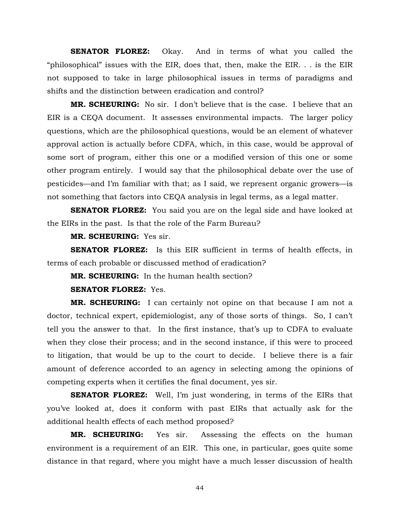**SENATOR FLOREZ:** Okay. And in terms of what you called the "philosophical" issues with the EIR, does that, then, make the EIR. . . is the EIR not supposed to take in large philosophical issues in terms of paradigms and shifts and the distinction between eradication and control?

**MR. SCHEURING:** No sir. I don't believe that is the case. I believe that an EIR is a CEQA document. It assesses environmental impacts. The larger policy questions, which are the philosophical questions, would be an element of whatever approval action is actually before CDFA, which, in this case, would be approval of some sort of program, either this one or a modified version of this one or some other program entirely. I would say that the philosophical debate over the use of pesticides—and I'm familiar with that; as I said, we represent organic growers—is not something that factors into CEQA analysis in legal terms, as a legal matter.

**SENATOR FLOREZ:** You said you are on the legal side and have looked at the EIRs in the past. Is that the role of the Farm Bureau?

**MR. SCHEURING:** Yes sir.

**SENATOR FLOREZ:** Is this EIR sufficient in terms of health effects, in terms of each probable or discussed method of eradication?

**MR. SCHEURING:** In the human health section?

**SENATOR FLOREZ:** Yes.

**MR. SCHEURING:** I can certainly not opine on that because I am not a doctor, technical expert, epidemiologist, any of those sorts of things. So, I can't tell you the answer to that. In the first instance, that's up to CDFA to evaluate when they close their process; and in the second instance, if this were to proceed to litigation, that would be up to the court to decide. I believe there is a fair amount of deference accorded to an agency in selecting among the opinions of competing experts when it certifies the final document, yes sir.

**SENATOR FLOREZ:** Well, I'm just wondering, in terms of the EIRs that you've looked at, does it conform with past EIRs that actually ask for the additional health effects of each method proposed?

**MR. SCHEURING:** Yes sir. Assessing the effects on the human environment is a requirement of an EIR. This one, in particular, goes quite some distance in that regard, where you might have a much lesser discussion of health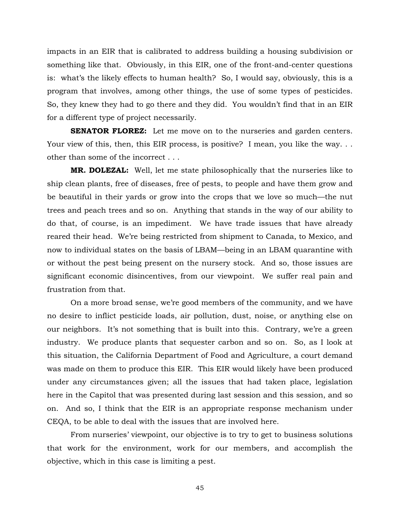impacts in an EIR that is calibrated to address building a housing subdivision or something like that. Obviously, in this EIR, one of the front-and-center questions is: what's the likely effects to human health? So, I would say, obviously, this is a program that involves, among other things, the use of some types of pesticides. So, they knew they had to go there and they did. You wouldn't find that in an EIR for a different type of project necessarily.

**SENATOR FLOREZ:** Let me move on to the nurseries and garden centers. Your view of this, then, this EIR process, is positive? I mean, you like the way... other than some of the incorrect . . .

**MR. DOLEZAL:** Well, let me state philosophically that the nurseries like to ship clean plants, free of diseases, free of pests, to people and have them grow and be beautiful in their yards or grow into the crops that we love so much—the nut trees and peach trees and so on. Anything that stands in the way of our ability to do that, of course, is an impediment. We have trade issues that have already reared their head. We're being restricted from shipment to Canada, to Mexico, and now to individual states on the basis of LBAM—being in an LBAM quarantine with or without the pest being present on the nursery stock. And so, those issues are significant economic disincentives, from our viewpoint. We suffer real pain and frustration from that.

 On a more broad sense, we're good members of the community, and we have no desire to inflict pesticide loads, air pollution, dust, noise, or anything else on our neighbors. It's not something that is built into this. Contrary, we're a green industry. We produce plants that sequester carbon and so on. So, as I look at this situation, the California Department of Food and Agriculture, a court demand was made on them to produce this EIR. This EIR would likely have been produced under any circumstances given; all the issues that had taken place, legislation here in the Capitol that was presented during last session and this session, and so on. And so, I think that the EIR is an appropriate response mechanism under CEQA, to be able to deal with the issues that are involved here.

 From nurseries' viewpoint, our objective is to try to get to business solutions that work for the environment, work for our members, and accomplish the objective, which in this case is limiting a pest.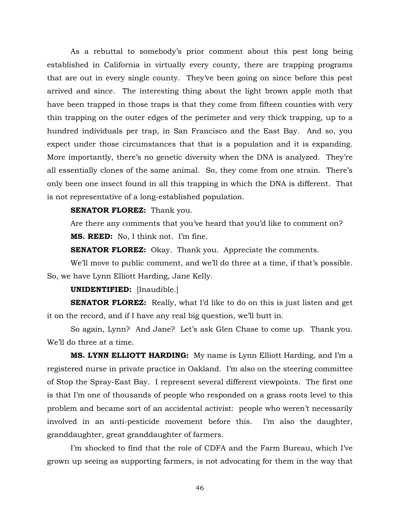As a rebuttal to somebody's prior comment about this pest long being established in California in virtually every county, there are trapping programs that are out in every single county. They've been going on since before this pest arrived and since. The interesting thing about the light brown apple moth that have been trapped in those traps is that they come from fifteen counties with very thin trapping on the outer edges of the perimeter and very thick trapping, up to a hundred individuals per trap, in San Francisco and the East Bay. And so, you expect under those circumstances that that is a population and it is expanding. More importantly, there's no genetic diversity when the DNA is analyzed. They're all essentially clones of the same animal. So, they come from one strain. There's only been one insect found in all this trapping in which the DNA is different. That is not representative of a long-established population.

#### **SENATOR FLOREZ:** Thank you.

Are there any comments that you've heard that you'd like to comment on?

**MS. REED:** No, I think not. I'm fine.

**SENATOR FLOREZ:** Okay. Thank you. Appreciate the comments.

 We'll move to public comment, and we'll do three at a time, if that's possible. So, we have Lynn Elliott Harding, Jane Kelly.

#### **UNIDENTIFIED:** [Inaudible.]

**SENATOR FLOREZ:** Really, what I'd like to do on this is just listen and get it on the record, and if I have any real big question, we'll butt in.

 So again, Lynn? And Jane? Let's ask Glen Chase to come up. Thank you. We'll do three at a time.

**MS. LYNN ELLIOTT HARDING:** My name is Lynn Elliott Harding, and I'm a registered nurse in private practice in Oakland. I'm also on the steering committee of Stop the Spray-East Bay. I represent several different viewpoints. The first one is that I'm one of thousands of people who responded on a grass roots level to this problem and became sort of an accidental activist: people who weren't necessarily involved in an anti-pesticide movement before this. I'm also the daughter, granddaughter, great granddaughter of farmers.

 I'm shocked to find that the role of CDFA and the Farm Bureau, which I've grown up seeing as supporting farmers, is not advocating for them in the way that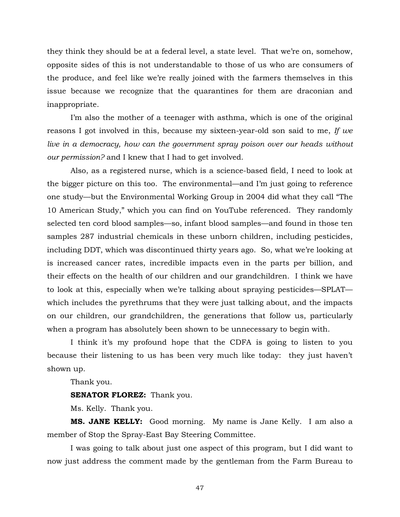they think they should be at a federal level, a state level. That we're on, somehow, opposite sides of this is not understandable to those of us who are consumers of the produce, and feel like we're really joined with the farmers themselves in this issue because we recognize that the quarantines for them are draconian and inappropriate.

 I'm also the mother of a teenager with asthma, which is one of the original reasons I got involved in this, because my sixteen-year-old son said to me, *If we live in a democracy, how can the government spray poison over our heads without our permission?* and I knew that I had to get involved.

 Also, as a registered nurse, which is a science-based field, I need to look at the bigger picture on this too. The environmental—and I'm just going to reference one study—but the Environmental Working Group in 2004 did what they call "The 10 American Study," which you can find on YouTube referenced. They randomly selected ten cord blood samples—so, infant blood samples—and found in those ten samples 287 industrial chemicals in these unborn children, including pesticides, including DDT, which was discontinued thirty years ago. So, what we're looking at is increased cancer rates, incredible impacts even in the parts per billion, and their effects on the health of our children and our grandchildren. I think we have to look at this, especially when we're talking about spraying pesticides—SPLAT which includes the pyrethrums that they were just talking about, and the impacts on our children, our grandchildren, the generations that follow us, particularly when a program has absolutely been shown to be unnecessary to begin with.

 I think it's my profound hope that the CDFA is going to listen to you because their listening to us has been very much like today: they just haven't shown up.

Thank you.

**SENATOR FLOREZ:** Thank you.

Ms. Kelly. Thank you.

**MS. JANE KELLY:** Good morning. My name is Jane Kelly. I am also a member of Stop the Spray-East Bay Steering Committee.

 I was going to talk about just one aspect of this program, but I did want to now just address the comment made by the gentleman from the Farm Bureau to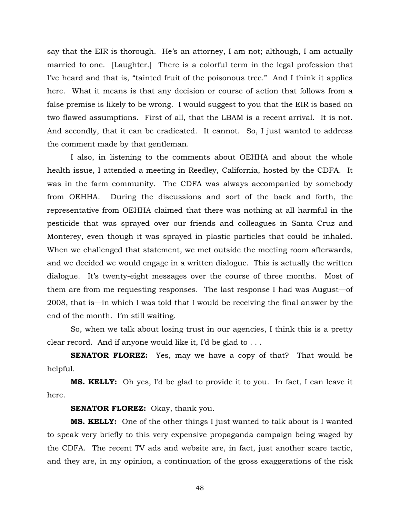say that the EIR is thorough. He's an attorney, I am not; although, I am actually married to one. [Laughter.] There is a colorful term in the legal profession that I've heard and that is, "tainted fruit of the poisonous tree." And I think it applies here. What it means is that any decision or course of action that follows from a false premise is likely to be wrong. I would suggest to you that the EIR is based on two flawed assumptions. First of all, that the LBAM is a recent arrival. It is not. And secondly, that it can be eradicated. It cannot. So, I just wanted to address the comment made by that gentleman.

 I also, in listening to the comments about OEHHA and about the whole health issue, I attended a meeting in Reedley, California, hosted by the CDFA. It was in the farm community. The CDFA was always accompanied by somebody from OEHHA. During the discussions and sort of the back and forth, the representative from OEHHA claimed that there was nothing at all harmful in the pesticide that was sprayed over our friends and colleagues in Santa Cruz and Monterey, even though it was sprayed in plastic particles that could be inhaled. When we challenged that statement, we met outside the meeting room afterwards, and we decided we would engage in a written dialogue. This is actually the written dialogue. It's twenty-eight messages over the course of three months. Most of them are from me requesting responses. The last response I had was August—of 2008, that is—in which I was told that I would be receiving the final answer by the end of the month. I'm still waiting.

 So, when we talk about losing trust in our agencies, I think this is a pretty clear record. And if anyone would like it, I'd be glad to . . .

**SENATOR FLOREZ:** Yes, may we have a copy of that? That would be helpful.

**MS. KELLY:** Oh yes, I'd be glad to provide it to you. In fact, I can leave it here.

**SENATOR FLOREZ:** Okay, thank you.

**MS. KELLY:** One of the other things I just wanted to talk about is I wanted to speak very briefly to this very expensive propaganda campaign being waged by the CDFA. The recent TV ads and website are, in fact, just another scare tactic, and they are, in my opinion, a continuation of the gross exaggerations of the risk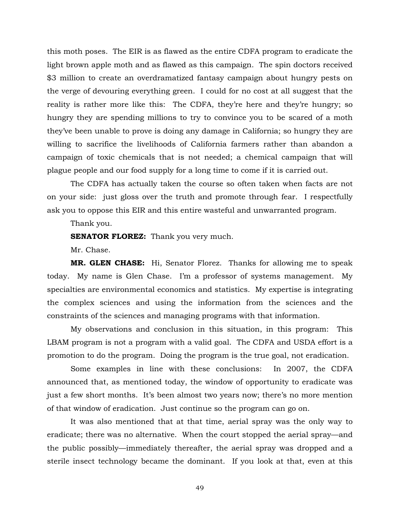this moth poses. The EIR is as flawed as the entire CDFA program to eradicate the light brown apple moth and as flawed as this campaign. The spin doctors received \$3 million to create an overdramatized fantasy campaign about hungry pests on the verge of devouring everything green. I could for no cost at all suggest that the reality is rather more like this: The CDFA, they're here and they're hungry; so hungry they are spending millions to try to convince you to be scared of a moth they've been unable to prove is doing any damage in California; so hungry they are willing to sacrifice the livelihoods of California farmers rather than abandon a campaign of toxic chemicals that is not needed; a chemical campaign that will plague people and our food supply for a long time to come if it is carried out.

 The CDFA has actually taken the course so often taken when facts are not on your side: just gloss over the truth and promote through fear. I respectfully ask you to oppose this EIR and this entire wasteful and unwarranted program.

Thank you.

**SENATOR FLOREZ:** Thank you very much.

Mr. Chase.

**MR. GLEN CHASE:** Hi, Senator Florez. Thanks for allowing me to speak today. My name is Glen Chase. I'm a professor of systems management. My specialties are environmental economics and statistics. My expertise is integrating the complex sciences and using the information from the sciences and the constraints of the sciences and managing programs with that information.

 My observations and conclusion in this situation, in this program: This LBAM program is not a program with a valid goal. The CDFA and USDA effort is a promotion to do the program. Doing the program is the true goal, not eradication.

 Some examples in line with these conclusions: In 2007, the CDFA announced that, as mentioned today, the window of opportunity to eradicate was just a few short months. It's been almost two years now; there's no more mention of that window of eradication. Just continue so the program can go on.

 It was also mentioned that at that time, aerial spray was the only way to eradicate; there was no alternative. When the court stopped the aerial spray—and the public possibly—immediately thereafter, the aerial spray was dropped and a sterile insect technology became the dominant. If you look at that, even at this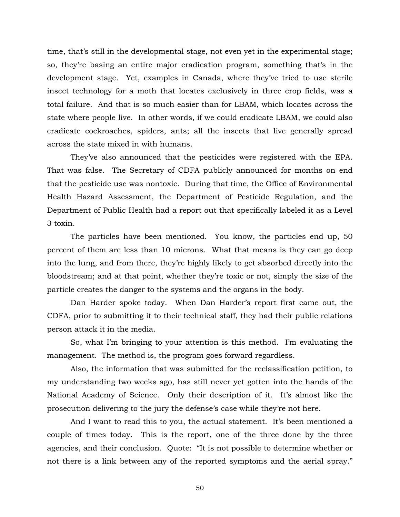time, that's still in the developmental stage, not even yet in the experimental stage; so, they're basing an entire major eradication program, something that's in the development stage. Yet, examples in Canada, where they've tried to use sterile insect technology for a moth that locates exclusively in three crop fields, was a total failure. And that is so much easier than for LBAM, which locates across the state where people live. In other words, if we could eradicate LBAM, we could also eradicate cockroaches, spiders, ants; all the insects that live generally spread across the state mixed in with humans.

 They've also announced that the pesticides were registered with the EPA. That was false. The Secretary of CDFA publicly announced for months on end that the pesticide use was nontoxic. During that time, the Office of Environmental Health Hazard Assessment, the Department of Pesticide Regulation, and the Department of Public Health had a report out that specifically labeled it as a Level 3 toxin.

 The particles have been mentioned. You know, the particles end up, 50 percent of them are less than 10 microns. What that means is they can go deep into the lung, and from there, they're highly likely to get absorbed directly into the bloodstream; and at that point, whether they're toxic or not, simply the size of the particle creates the danger to the systems and the organs in the body.

 Dan Harder spoke today. When Dan Harder's report first came out, the CDFA, prior to submitting it to their technical staff, they had their public relations person attack it in the media.

 So, what I'm bringing to your attention is this method. I'm evaluating the management. The method is, the program goes forward regardless.

 Also, the information that was submitted for the reclassification petition, to my understanding two weeks ago, has still never yet gotten into the hands of the National Academy of Science. Only their description of it. It's almost like the prosecution delivering to the jury the defense's case while they're not here.

 And I want to read this to you, the actual statement. It's been mentioned a couple of times today. This is the report, one of the three done by the three agencies, and their conclusion. Quote: "It is not possible to determine whether or not there is a link between any of the reported symptoms and the aerial spray."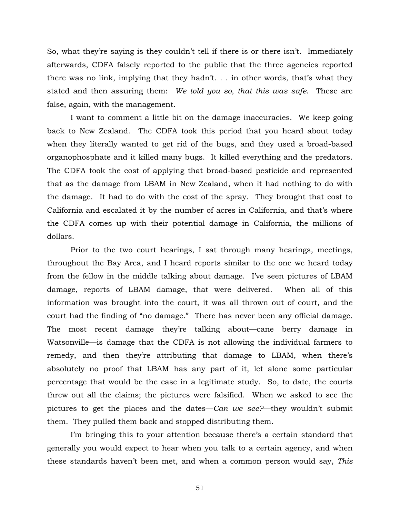So, what they're saying is they couldn't tell if there is or there isn't. Immediately afterwards, CDFA falsely reported to the public that the three agencies reported there was no link, implying that they hadn't. . . in other words, that's what they stated and then assuring them: *We told you so, that this was safe*. These are false, again, with the management.

 I want to comment a little bit on the damage inaccuracies. We keep going back to New Zealand. The CDFA took this period that you heard about today when they literally wanted to get rid of the bugs, and they used a broad-based organophosphate and it killed many bugs. It killed everything and the predators. The CDFA took the cost of applying that broad-based pesticide and represented that as the damage from LBAM in New Zealand, when it had nothing to do with the damage. It had to do with the cost of the spray. They brought that cost to California and escalated it by the number of acres in California, and that's where the CDFA comes up with their potential damage in California, the millions of dollars.

 Prior to the two court hearings, I sat through many hearings, meetings, throughout the Bay Area, and I heard reports similar to the one we heard today from the fellow in the middle talking about damage. I've seen pictures of LBAM damage, reports of LBAM damage, that were delivered. When all of this information was brought into the court, it was all thrown out of court, and the court had the finding of "no damage." There has never been any official damage. The most recent damage they're talking about—cane berry damage in Watsonville—is damage that the CDFA is not allowing the individual farmers to remedy, and then they're attributing that damage to LBAM, when there's absolutely no proof that LBAM has any part of it, let alone some particular percentage that would be the case in a legitimate study. So, to date, the courts threw out all the claims; the pictures were falsified. When we asked to see the pictures to get the places and the dates—*Can we see?*—they wouldn't submit them. They pulled them back and stopped distributing them.

 I'm bringing this to your attention because there's a certain standard that generally you would expect to hear when you talk to a certain agency, and when these standards haven't been met, and when a common person would say, *This*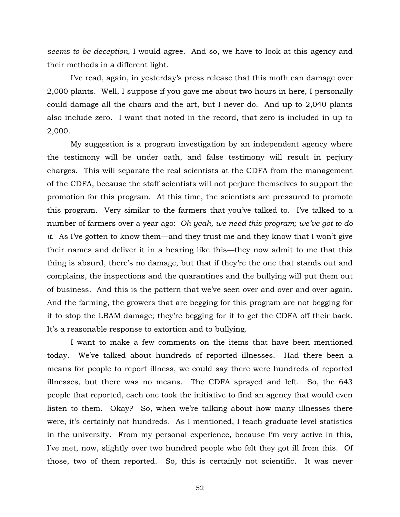*seems to be deception*, I would agree. And so, we have to look at this agency and their methods in a different light.

 I've read, again, in yesterday's press release that this moth can damage over 2,000 plants. Well, I suppose if you gave me about two hours in here, I personally could damage all the chairs and the art, but I never do. And up to 2,040 plants also include zero. I want that noted in the record, that zero is included in up to 2,000.

 My suggestion is a program investigation by an independent agency where the testimony will be under oath, and false testimony will result in perjury charges. This will separate the real scientists at the CDFA from the management of the CDFA, because the staff scientists will not perjure themselves to support the promotion for this program. At this time, the scientists are pressured to promote this program. Very similar to the farmers that you've talked to. I've talked to a number of farmers over a year ago: *Oh yeah, we need this program; we've got to do it*. As I've gotten to know them—and they trust me and they know that I won't give their names and deliver it in a hearing like this—they now admit to me that this thing is absurd, there's no damage, but that if they're the one that stands out and complains, the inspections and the quarantines and the bullying will put them out of business. And this is the pattern that we've seen over and over and over again. And the farming, the growers that are begging for this program are not begging for it to stop the LBAM damage; they're begging for it to get the CDFA off their back. It's a reasonable response to extortion and to bullying.

 I want to make a few comments on the items that have been mentioned today. We've talked about hundreds of reported illnesses. Had there been a means for people to report illness, we could say there were hundreds of reported illnesses, but there was no means. The CDFA sprayed and left. So, the 643 people that reported, each one took the initiative to find an agency that would even listen to them. Okay? So, when we're talking about how many illnesses there were, it's certainly not hundreds. As I mentioned, I teach graduate level statistics in the university. From my personal experience, because I'm very active in this, I've met, now, slightly over two hundred people who felt they got ill from this. Of those, two of them reported. So, this is certainly not scientific. It was never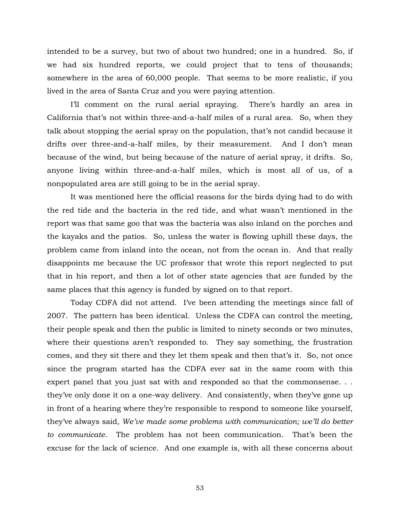intended to be a survey, but two of about two hundred; one in a hundred. So, if we had six hundred reports, we could project that to tens of thousands; somewhere in the area of 60,000 people. That seems to be more realistic, if you lived in the area of Santa Cruz and you were paying attention.

 I'll comment on the rural aerial spraying. There's hardly an area in California that's not within three-and-a-half miles of a rural area. So, when they talk about stopping the aerial spray on the population, that's not candid because it drifts over three-and-a-half miles, by their measurement. And I don't mean because of the wind, but being because of the nature of aerial spray, it drifts. So, anyone living within three-and-a-half miles, which is most all of us, of a nonpopulated area are still going to be in the aerial spray.

 It was mentioned here the official reasons for the birds dying had to do with the red tide and the bacteria in the red tide, and what wasn't mentioned in the report was that same goo that was the bacteria was also inland on the porches and the kayaks and the patios. So, unless the water is flowing uphill these days, the problem came from inland into the ocean, not from the ocean in. And that really disappoints me because the UC professor that wrote this report neglected to put that in his report, and then a lot of other state agencies that are funded by the same places that this agency is funded by signed on to that report.

 Today CDFA did not attend. I've been attending the meetings since fall of 2007. The pattern has been identical. Unless the CDFA can control the meeting, their people speak and then the public is limited to ninety seconds or two minutes, where their questions aren't responded to. They say something, the frustration comes, and they sit there and they let them speak and then that's it. So, not once since the program started has the CDFA ever sat in the same room with this expert panel that you just sat with and responded so that the commonsense. . . they've only done it on a one-way delivery. And consistently, when they've gone up in front of a hearing where they're responsible to respond to someone like yourself, they've always said, *We've made some problems with communication; we'll do better to communicate*. The problem has not been communication. That's been the excuse for the lack of science. And one example is, with all these concerns about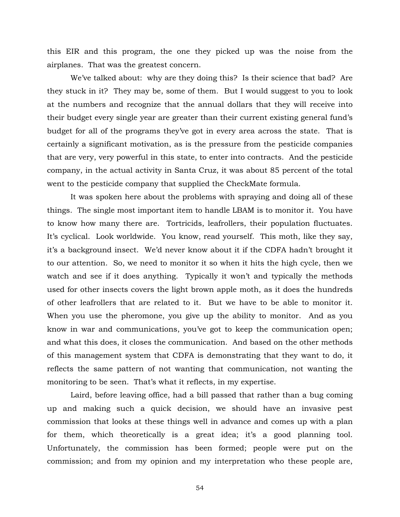this EIR and this program, the one they picked up was the noise from the airplanes. That was the greatest concern.

We've talked about: why are they doing this? Is their science that bad? Are they stuck in it? They may be, some of them. But I would suggest to you to look at the numbers and recognize that the annual dollars that they will receive into their budget every single year are greater than their current existing general fund's budget for all of the programs they've got in every area across the state. That is certainly a significant motivation, as is the pressure from the pesticide companies that are very, very powerful in this state, to enter into contracts. And the pesticide company, in the actual activity in Santa Cruz, it was about 85 percent of the total went to the pesticide company that supplied the CheckMate formula.

 It was spoken here about the problems with spraying and doing all of these things. The single most important item to handle LBAM is to monitor it. You have to know how many there are. Tortricids, leafrollers, their population fluctuates. It's cyclical. Look worldwide. You know, read yourself. This moth, like they say, it's a background insect. We'd never know about it if the CDFA hadn't brought it to our attention. So, we need to monitor it so when it hits the high cycle, then we watch and see if it does anything. Typically it won't and typically the methods used for other insects covers the light brown apple moth, as it does the hundreds of other leafrollers that are related to it. But we have to be able to monitor it. When you use the pheromone, you give up the ability to monitor. And as you know in war and communications, you've got to keep the communication open; and what this does, it closes the communication. And based on the other methods of this management system that CDFA is demonstrating that they want to do, it reflects the same pattern of not wanting that communication, not wanting the monitoring to be seen. That's what it reflects, in my expertise.

 Laird, before leaving office, had a bill passed that rather than a bug coming up and making such a quick decision, we should have an invasive pest commission that looks at these things well in advance and comes up with a plan for them, which theoretically is a great idea; it's a good planning tool. Unfortunately, the commission has been formed; people were put on the commission; and from my opinion and my interpretation who these people are,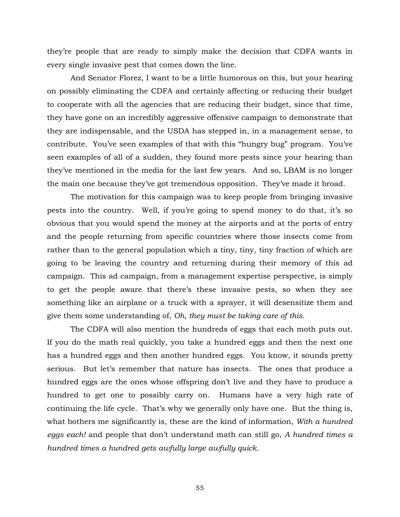they're people that are ready to simply make the decision that CDFA wants in every single invasive pest that comes down the line.

 And Senator Florez, I want to be a little humorous on this, but your hearing on possibly eliminating the CDFA and certainly affecting or reducing their budget to cooperate with all the agencies that are reducing their budget, since that time, they have gone on an incredibly aggressive offensive campaign to demonstrate that they are indispensable, and the USDA has stepped in, in a management sense, to contribute. You've seen examples of that with this "hungry bug" program. You've seen examples of all of a sudden, they found more pests since your hearing than they've mentioned in the media for the last few years. And so, LBAM is no longer the main one because they've got tremendous opposition. They've made it broad.

 The motivation for this campaign was to keep people from bringing invasive pests into the country. Well, if you're going to spend money to do that, it's so obvious that you would spend the money at the airports and at the ports of entry and the people returning from specific countries where those insects come from rather than to the general population which a tiny, tiny, tiny fraction of which are going to be leaving the country and returning during their memory of this ad campaign. This ad campaign, from a management expertise perspective, is simply to get the people aware that there's these invasive pests, so when they see something like an airplane or a truck with a sprayer, it will desensitize them and give them some understanding of, *Oh, they must be taking care of this*.

 The CDFA will also mention the hundreds of eggs that each moth puts out. If you do the math real quickly, you take a hundred eggs and then the next one has a hundred eggs and then another hundred eggs. You know, it sounds pretty serious. But let's remember that nature has insects. The ones that produce a hundred eggs are the ones whose offspring don't live and they have to produce a hundred to get one to possibly carry on. Humans have a very high rate of continuing the life cycle. That's why we generally only have one. But the thing is, what bothers me significantly is, these are the kind of information, *With a hundred eggs each!* and people that don't understand math can still go, *A hundred times a hundred times a hundred gets awfully large awfully quick*.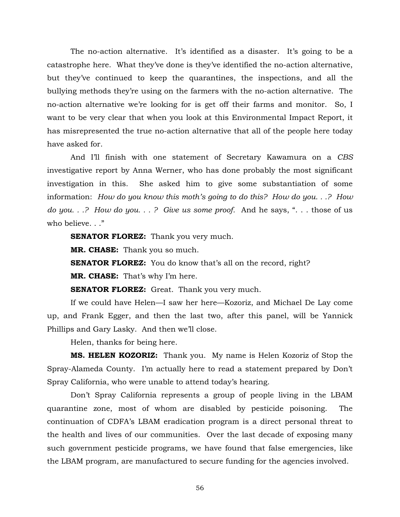The no-action alternative. It's identified as a disaster. It's going to be a catastrophe here. What they've done is they've identified the no-action alternative, but they've continued to keep the quarantines, the inspections, and all the bullying methods they're using on the farmers with the no-action alternative. The no-action alternative we're looking for is get off their farms and monitor. So, I want to be very clear that when you look at this Environmental Impact Report, it has misrepresented the true no-action alternative that all of the people here today have asked for.

 And I'll finish with one statement of Secretary Kawamura on a *CBS* investigative report by Anna Werner, who has done probably the most significant investigation in this. She asked him to give some substantiation of some information: *How do you know this moth's going to do this? How do you. . .? How do you. . .? How do you. . . ? Give us some proof.* And he says, ". . . those of us who believe. . ."

**SENATOR FLOREZ:** Thank you very much.

**MR. CHASE:** Thank you so much.

**SENATOR FLOREZ:** You do know that's all on the record, right?

**MR. CHASE:** That's why I'm here.

**SENATOR FLOREZ:** Great. Thank you very much.

 If we could have Helen—I saw her here—Kozoriz, and Michael De Lay come up, and Frank Egger, and then the last two, after this panel, will be Yannick Phillips and Gary Lasky. And then we'll close.

Helen, thanks for being here.

**MS. HELEN KOZORIZ:** Thank you. My name is Helen Kozoriz of Stop the Spray-Alameda County. I'm actually here to read a statement prepared by Don't Spray California, who were unable to attend today's hearing.

 Don't Spray California represents a group of people living in the LBAM quarantine zone, most of whom are disabled by pesticide poisoning. The continuation of CDFA's LBAM eradication program is a direct personal threat to the health and lives of our communities. Over the last decade of exposing many such government pesticide programs, we have found that false emergencies, like the LBAM program, are manufactured to secure funding for the agencies involved.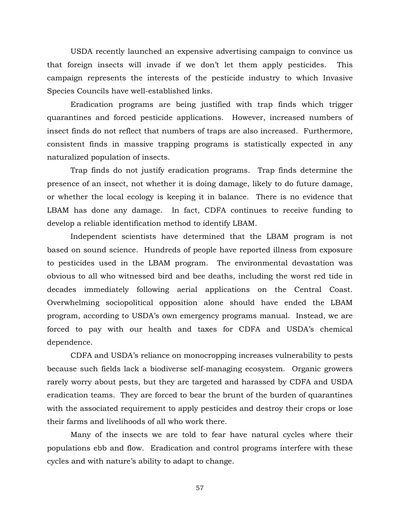USDA recently launched an expensive advertising campaign to convince us that foreign insects will invade if we don't let them apply pesticides. This campaign represents the interests of the pesticide industry to which Invasive Species Councils have well-established links.

 Eradication programs are being justified with trap finds which trigger quarantines and forced pesticide applications. However, increased numbers of insect finds do not reflect that numbers of traps are also increased. Furthermore, consistent finds in massive trapping programs is statistically expected in any naturalized population of insects.

 Trap finds do not justify eradication programs. Trap finds determine the presence of an insect, not whether it is doing damage, likely to do future damage, or whether the local ecology is keeping it in balance. There is no evidence that LBAM has done any damage. In fact, CDFA continues to receive funding to develop a reliable identification method to identify LBAM.

 Independent scientists have determined that the LBAM program is not based on sound science. Hundreds of people have reported illness from exposure to pesticides used in the LBAM program. The environmental devastation was obvious to all who witnessed bird and bee deaths, including the worst red tide in decades immediately following aerial applications on the Central Coast. Overwhelming sociopolitical opposition alone should have ended the LBAM program, according to USDA's own emergency programs manual. Instead, we are forced to pay with our health and taxes for CDFA and USDA's chemical dependence.

 CDFA and USDA's reliance on monocropping increases vulnerability to pests because such fields lack a biodiverse self-managing ecosystem. Organic growers rarely worry about pests, but they are targeted and harassed by CDFA and USDA eradication teams. They are forced to bear the brunt of the burden of quarantines with the associated requirement to apply pesticides and destroy their crops or lose their farms and livelihoods of all who work there.

 Many of the insects we are told to fear have natural cycles where their populations ebb and flow. Eradication and control programs interfere with these cycles and with nature's ability to adapt to change.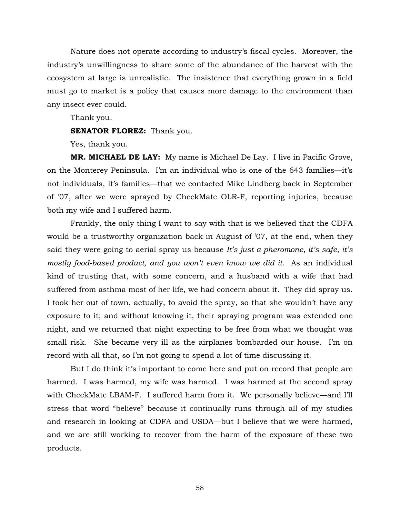Nature does not operate according to industry's fiscal cycles. Moreover, the industry's unwillingness to share some of the abundance of the harvest with the ecosystem at large is unrealistic. The insistence that everything grown in a field must go to market is a policy that causes more damage to the environment than any insect ever could.

Thank you.

**SENATOR FLOREZ:** Thank you.

Yes, thank you.

**MR. MICHAEL DE LAY:** My name is Michael De Lay. I live in Pacific Grove, on the Monterey Peninsula. I'm an individual who is one of the 643 families—it's not individuals, it's families—that we contacted Mike Lindberg back in September of '07, after we were sprayed by CheckMate OLR-F, reporting injuries, because both my wife and I suffered harm.

 Frankly, the only thing I want to say with that is we believed that the CDFA would be a trustworthy organization back in August of '07, at the end, when they said they were going to aerial spray us because *It's just a pheromone, it's safe, it's mostly food-based product, and you won't even know we did it*. As an individual kind of trusting that, with some concern, and a husband with a wife that had suffered from asthma most of her life, we had concern about it. They did spray us. I took her out of town, actually, to avoid the spray, so that she wouldn't have any exposure to it; and without knowing it, their spraying program was extended one night, and we returned that night expecting to be free from what we thought was small risk. She became very ill as the airplanes bombarded our house. I'm on record with all that, so I'm not going to spend a lot of time discussing it.

 But I do think it's important to come here and put on record that people are harmed. I was harmed, my wife was harmed. I was harmed at the second spray with CheckMate LBAM-F. I suffered harm from it. We personally believe—and I'll stress that word "believe" because it continually runs through all of my studies and research in looking at CDFA and USDA—but I believe that we were harmed, and we are still working to recover from the harm of the exposure of these two products.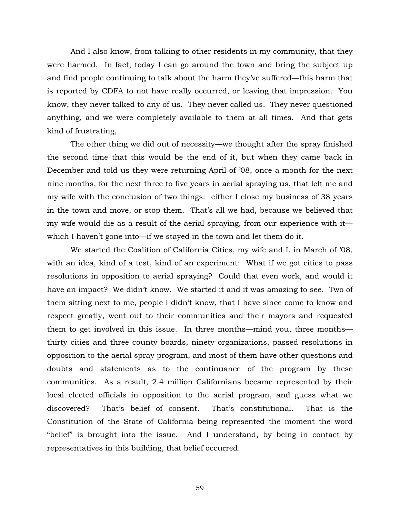And I also know, from talking to other residents in my community, that they were harmed. In fact, today I can go around the town and bring the subject up and find people continuing to talk about the harm they've suffered—this harm that is reported by CDFA to not have really occurred, or leaving that impression. You know, they never talked to any of us. They never called us. They never questioned anything, and we were completely available to them at all times. And that gets kind of frustrating,

 The other thing we did out of necessity—we thought after the spray finished the second time that this would be the end of it, but when they came back in December and told us they were returning April of '08, once a month for the next nine months, for the next three to five years in aerial spraying us, that left me and my wife with the conclusion of two things: either I close my business of 38 years in the town and move, or stop them. That's all we had, because we believed that my wife would die as a result of the aerial spraying, from our experience with it which I haven't gone into—if we stayed in the town and let them do it.

 We started the Coalition of California Cities, my wife and I, in March of '08, with an idea, kind of a test, kind of an experiment: What if we got cities to pass resolutions in opposition to aerial spraying? Could that even work, and would it have an impact? We didn't know. We started it and it was amazing to see. Two of them sitting next to me, people I didn't know, that I have since come to know and respect greatly, went out to their communities and their mayors and requested them to get involved in this issue. In three months—mind you, three months thirty cities and three county boards, ninety organizations, passed resolutions in opposition to the aerial spray program, and most of them have other questions and doubts and statements as to the continuance of the program by these communities. As a result, 2.4 million Californians became represented by their local elected officials in opposition to the aerial program, and guess what we discovered? That's belief of consent. That's constitutional. That is the Constitution of the State of California being represented the moment the word "belief" is brought into the issue. And I understand, by being in contact by representatives in this building, that belief occurred.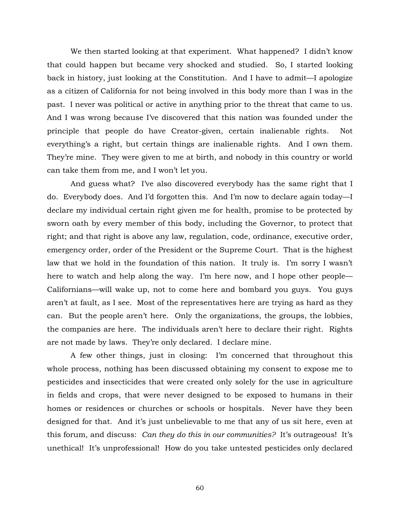We then started looking at that experiment. What happened? I didn't know that could happen but became very shocked and studied. So, I started looking back in history, just looking at the Constitution. And I have to admit—I apologize as a citizen of California for not being involved in this body more than I was in the past. I never was political or active in anything prior to the threat that came to us. And I was wrong because I've discovered that this nation was founded under the principle that people do have Creator-given, certain inalienable rights. Not everything's a right, but certain things are inalienable rights. And I own them. They're mine. They were given to me at birth, and nobody in this country or world can take them from me, and I won't let you.

 And guess what? I've also discovered everybody has the same right that I do. Everybody does. And I'd forgotten this. And I'm now to declare again today—I declare my individual certain right given me for health, promise to be protected by sworn oath by every member of this body, including the Governor, to protect that right; and that right is above any law, regulation, code, ordinance, executive order, emergency order, order of the President or the Supreme Court. That is the highest law that we hold in the foundation of this nation. It truly is. I'm sorry I wasn't here to watch and help along the way. I'm here now, and I hope other people— Californians—will wake up, not to come here and bombard you guys. You guys aren't at fault, as I see. Most of the representatives here are trying as hard as they can. But the people aren't here. Only the organizations, the groups, the lobbies, the companies are here. The individuals aren't here to declare their right. Rights are not made by laws. They're only declared. I declare mine.

 A few other things, just in closing: I'm concerned that throughout this whole process, nothing has been discussed obtaining my consent to expose me to pesticides and insecticides that were created only solely for the use in agriculture in fields and crops, that were never designed to be exposed to humans in their homes or residences or churches or schools or hospitals. Never have they been designed for that. And it's just unbelievable to me that any of us sit here, even at this forum, and discuss: *Can they do this in our communities?* It's outrageous! It's unethical! It's unprofessional! How do you take untested pesticides only declared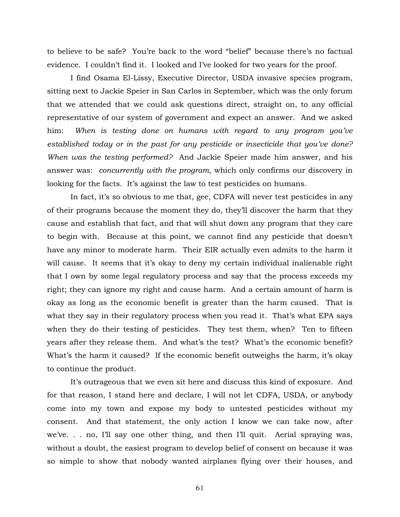to believe to be safe? You're back to the word "belief" because there's no factual evidence. I couldn't find it. I looked and I've looked for two years for the proof.

 I find Osama El-Lissy, Executive Director, USDA invasive species program, sitting next to Jackie Speier in San Carlos in September, which was the only forum that we attended that we could ask questions direct, straight on, to any official representative of our system of government and expect an answer. And we asked him: *When is testing done on humans with regard to any program you've established today or in the past for any pesticide or insecticide that you've done? When was the testing performed?* And Jackie Speier made him answer, and his answer was: *concurrently with the program*, which only confirms our discovery in looking for the facts. It's against the law to test pesticides on humans.

 In fact, it's so obvious to me that, gee, CDFA will never test pesticides in any of their programs because the moment they do, they'll discover the harm that they cause and establish that fact, and that will shut down any program that they care to begin with. Because at this point, we cannot find any pesticide that doesn't have any minor to moderate harm. Their EIR actually even admits to the harm it will cause. It seems that it's okay to deny my certain individual inalienable right that I own by some legal regulatory process and say that the process exceeds my right; they can ignore my right and cause harm. And a certain amount of harm is okay as long as the economic benefit is greater than the harm caused. That is what they say in their regulatory process when you read it. That's what EPA says when they do their testing of pesticides. They test them, when? Ten to fifteen years after they release them. And what's the test? What's the economic benefit? What's the harm it caused? If the economic benefit outweighs the harm, it's okay to continue the product.

 It's outrageous that we even sit here and discuss this kind of exposure. And for that reason, I stand here and declare, I will not let CDFA, USDA, or anybody come into my town and expose my body to untested pesticides without my consent. And that statement, the only action I know we can take now, after we've. . . no, I'll say one other thing, and then I'll quit. Aerial spraying was, without a doubt, the easiest program to develop belief of consent on because it was so simple to show that nobody wanted airplanes flying over their houses, and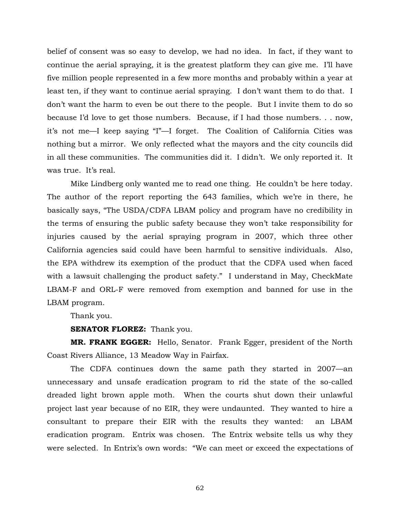belief of consent was so easy to develop, we had no idea. In fact, if they want to continue the aerial spraying, it is the greatest platform they can give me. I'll have five million people represented in a few more months and probably within a year at least ten, if they want to continue aerial spraying. I don't want them to do that. I don't want the harm to even be out there to the people. But I invite them to do so because I'd love to get those numbers. Because, if I had those numbers. . . now, it's not me—I keep saying "I"—I forget. The Coalition of California Cities was nothing but a mirror. We only reflected what the mayors and the city councils did in all these communities. The communities did it. I didn't. We only reported it. It was true. It's real.

 Mike Lindberg only wanted me to read one thing. He couldn't be here today. The author of the report reporting the 643 families, which we're in there, he basically says, "The USDA/CDFA LBAM policy and program have no credibility in the terms of ensuring the public safety because they won't take responsibility for injuries caused by the aerial spraying program in 2007, which three other California agencies said could have been harmful to sensitive individuals. Also, the EPA withdrew its exemption of the product that the CDFA used when faced with a lawsuit challenging the product safety." I understand in May, CheckMate LBAM-F and ORL-F were removed from exemption and banned for use in the LBAM program.

Thank you.

**SENATOR FLOREZ:** Thank you.

**MR. FRANK EGGER:** Hello, Senator. Frank Egger, president of the North Coast Rivers Alliance, 13 Meadow Way in Fairfax.

 The CDFA continues down the same path they started in 2007—an unnecessary and unsafe eradication program to rid the state of the so-called dreaded light brown apple moth. When the courts shut down their unlawful project last year because of no EIR, they were undaunted. They wanted to hire a consultant to prepare their EIR with the results they wanted: an LBAM eradication program. Entrix was chosen. The Entrix website tells us why they were selected. In Entrix's own words: "We can meet or exceed the expectations of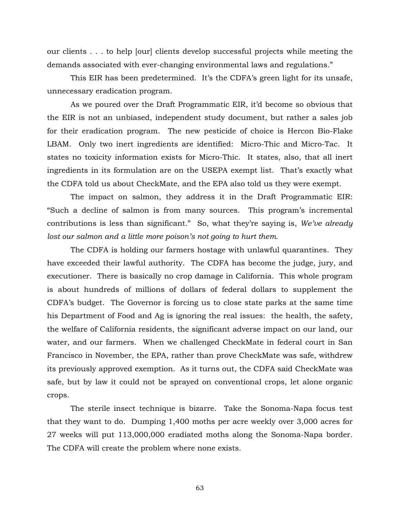our clients . . . to help [our] clients develop successful projects while meeting the demands associated with ever-changing environmental laws and regulations."

 This EIR has been predetermined. It's the CDFA's green light for its unsafe, unnecessary eradication program.

 As we poured over the Draft Programmatic EIR, it'd become so obvious that the EIR is not an unbiased, independent study document, but rather a sales job for their eradication program. The new pesticide of choice is Hercon Bio-Flake LBAM. Only two inert ingredients are identified: Micro-Thic and Micro-Tac. It states no toxicity information exists for Micro-Thic. It states, also, that all inert ingredients in its formulation are on the USEPA exempt list. That's exactly what the CDFA told us about CheckMate, and the EPA also told us they were exempt.

 The impact on salmon, they address it in the Draft Programmatic EIR: "Such a decline of salmon is from many sources. This program's incremental contributions is less than significant." So, what they're saying is, *We've already lost our salmon and a little more poison's not going to hurt them*.

 The CDFA is holding our farmers hostage with unlawful quarantines. They have exceeded their lawful authority. The CDFA has become the judge, jury, and executioner. There is basically no crop damage in California. This whole program is about hundreds of millions of dollars of federal dollars to supplement the CDFA's budget. The Governor is forcing us to close state parks at the same time his Department of Food and Ag is ignoring the real issues: the health, the safety, the welfare of California residents, the significant adverse impact on our land, our water, and our farmers. When we challenged CheckMate in federal court in San Francisco in November, the EPA, rather than prove CheckMate was safe, withdrew its previously approved exemption. As it turns out, the CDFA said CheckMate was safe, but by law it could not be sprayed on conventional crops, let alone organic crops.

 The sterile insect technique is bizarre. Take the Sonoma-Napa focus test that they want to do. Dumping 1,400 moths per acre weekly over 3,000 acres for 27 weeks will put 113,000,000 eradiated moths along the Sonoma-Napa border. The CDFA will create the problem where none exists.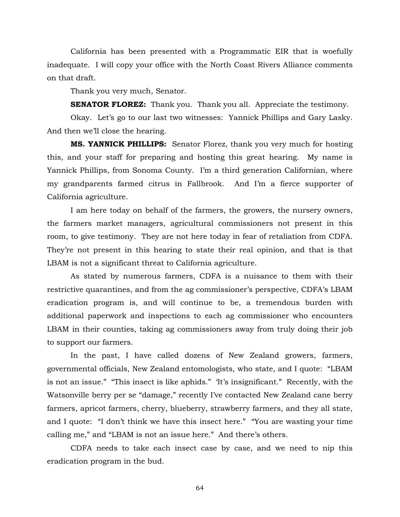California has been presented with a Programmatic EIR that is woefully inadequate. I will copy your office with the North Coast Rivers Alliance comments on that draft.

Thank you very much, Senator.

**SENATOR FLOREZ:** Thank you. Thank you all. Appreciate the testimony.

 Okay. Let's go to our last two witnesses: Yannick Phillips and Gary Lasky. And then we'll close the hearing.

**MS. YANNICK PHILLIPS:** Senator Florez, thank you very much for hosting this, and your staff for preparing and hosting this great hearing. My name is Yannick Phillips, from Sonoma County. I'm a third generation Californian, where my grandparents farmed citrus in Fallbrook. And I'm a fierce supporter of California agriculture.

 I am here today on behalf of the farmers, the growers, the nursery owners, the farmers market managers, agricultural commissioners not present in this room, to give testimony. They are not here today in fear of retaliation from CDFA. They're not present in this hearing to state their real opinion, and that is that LBAM is not a significant threat to California agriculture.

 As stated by numerous farmers, CDFA is a nuisance to them with their restrictive quarantines, and from the ag commissioner's perspective, CDFA's LBAM eradication program is, and will continue to be, a tremendous burden with additional paperwork and inspections to each ag commissioner who encounters LBAM in their counties, taking ag commissioners away from truly doing their job to support our farmers.

 In the past, I have called dozens of New Zealand growers, farmers, governmental officials, New Zealand entomologists, who state, and I quote: "LBAM is not an issue." "This insect is like aphids." 'It's insignificant." Recently, with the Watsonville berry per se "damage," recently I've contacted New Zealand cane berry farmers, apricot farmers, cherry, blueberry, strawberry farmers, and they all state, and I quote: "I don't think we have this insect here." "You are wasting your time calling me," and "LBAM is not an issue here." And there's others.

 CDFA needs to take each insect case by case, and we need to nip this eradication program in the bud.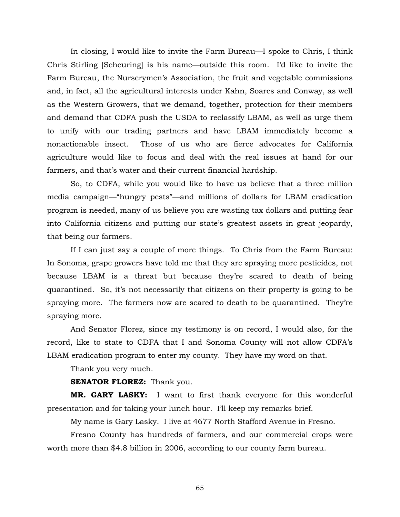In closing, I would like to invite the Farm Bureau—I spoke to Chris, I think Chris Stirling [Scheuring] is his name—outside this room. I'd like to invite the Farm Bureau, the Nurserymen's Association, the fruit and vegetable commissions and, in fact, all the agricultural interests under Kahn, Soares and Conway, as well as the Western Growers, that we demand, together, protection for their members and demand that CDFA push the USDA to reclassify LBAM, as well as urge them to unify with our trading partners and have LBAM immediately become a nonactionable insect. Those of us who are fierce advocates for California agriculture would like to focus and deal with the real issues at hand for our farmers, and that's water and their current financial hardship.

 So, to CDFA, while you would like to have us believe that a three million media campaign—"hungry pests"—and millions of dollars for LBAM eradication program is needed, many of us believe you are wasting tax dollars and putting fear into California citizens and putting our state's greatest assets in great jeopardy, that being our farmers.

 If I can just say a couple of more things. To Chris from the Farm Bureau: In Sonoma, grape growers have told me that they are spraying more pesticides, not because LBAM is a threat but because they're scared to death of being quarantined. So, it's not necessarily that citizens on their property is going to be spraying more. The farmers now are scared to death to be quarantined. They're spraying more.

 And Senator Florez, since my testimony is on record, I would also, for the record, like to state to CDFA that I and Sonoma County will not allow CDFA's LBAM eradication program to enter my county. They have my word on that.

Thank you very much.

**SENATOR FLOREZ:** Thank you.

**MR. GARY LASKY:** I want to first thank everyone for this wonderful presentation and for taking your lunch hour. I'll keep my remarks brief.

My name is Gary Lasky. I live at 4677 North Stafford Avenue in Fresno.

 Fresno County has hundreds of farmers, and our commercial crops were worth more than \$4.8 billion in 2006, according to our county farm bureau.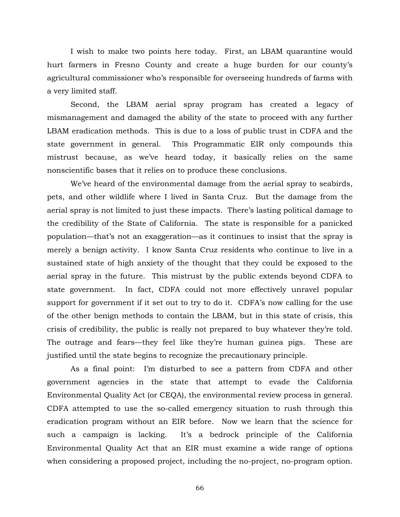I wish to make two points here today. First, an LBAM quarantine would hurt farmers in Fresno County and create a huge burden for our county's agricultural commissioner who's responsible for overseeing hundreds of farms with a very limited staff.

 Second, the LBAM aerial spray program has created a legacy of mismanagement and damaged the ability of the state to proceed with any further LBAM eradication methods. This is due to a loss of public trust in CDFA and the state government in general. This Programmatic EIR only compounds this mistrust because, as we've heard today, it basically relies on the same nonscientific bases that it relies on to produce these conclusions.

 We've heard of the environmental damage from the aerial spray to seabirds, pets, and other wildlife where I lived in Santa Cruz. But the damage from the aerial spray is not limited to just these impacts. There's lasting political damage to the credibility of the State of California. The state is responsible for a panicked population—that's not an exaggeration—as it continues to insist that the spray is merely a benign activity. I know Santa Cruz residents who continue to live in a sustained state of high anxiety of the thought that they could be exposed to the aerial spray in the future. This mistrust by the public extends beyond CDFA to state government. In fact, CDFA could not more effectively unravel popular support for government if it set out to try to do it. CDFA's now calling for the use of the other benign methods to contain the LBAM, but in this state of crisis, this crisis of credibility, the public is really not prepared to buy whatever they're told. The outrage and fears—they feel like they're human guinea pigs. These are justified until the state begins to recognize the precautionary principle.

 As a final point: I'm disturbed to see a pattern from CDFA and other government agencies in the state that attempt to evade the California Environmental Quality Act (or CEQA), the environmental review process in general. CDFA attempted to use the so-called emergency situation to rush through this eradication program without an EIR before. Now we learn that the science for such a campaign is lacking. It's a bedrock principle of the California Environmental Quality Act that an EIR must examine a wide range of options when considering a proposed project, including the no-project, no-program option.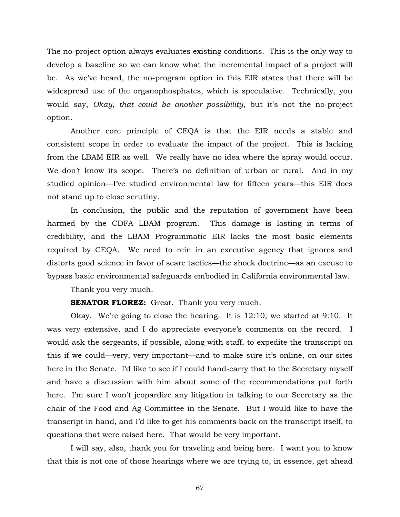The no-project option always evaluates existing conditions. This is the only way to develop a baseline so we can know what the incremental impact of a project will be. As we've heard, the no-program option in this EIR states that there will be widespread use of the organophosphates, which is speculative. Technically, you would say, *Okay, that could be another possibility*, but it's not the no-project option.

 Another core principle of CEQA is that the EIR needs a stable and consistent scope in order to evaluate the impact of the project. This is lacking from the LBAM EIR as well. We really have no idea where the spray would occur. We don't know its scope. There's no definition of urban or rural. And in my studied opinion—I've studied environmental law for fifteen years—this EIR does not stand up to close scrutiny.

 In conclusion, the public and the reputation of government have been harmed by the CDFA LBAM program. This damage is lasting in terms of credibility, and the LBAM Programmatic EIR lacks the most basic elements required by CEQA. We need to rein in an executive agency that ignores and distorts good science in favor of scare tactics—the shock doctrine—as an excuse to bypass basic environmental safeguards embodied in California environmental law.

Thank you very much.

**SENATOR FLOREZ:** Great. Thank you very much.

 Okay. We're going to close the hearing. It is 12:10; we started at 9:10. It was very extensive, and I do appreciate everyone's comments on the record. I would ask the sergeants, if possible, along with staff, to expedite the transcript on this if we could—very, very important—and to make sure it's online, on our sites here in the Senate. I'd like to see if I could hand-carry that to the Secretary myself and have a discussion with him about some of the recommendations put forth here. I'm sure I won't jeopardize any litigation in talking to our Secretary as the chair of the Food and Ag Committee in the Senate. But I would like to have the transcript in hand, and I'd like to get his comments back on the transcript itself, to questions that were raised here. That would be very important.

 I will say, also, thank you for traveling and being here. I want you to know that this is not one of those hearings where we are trying to, in essence, get ahead